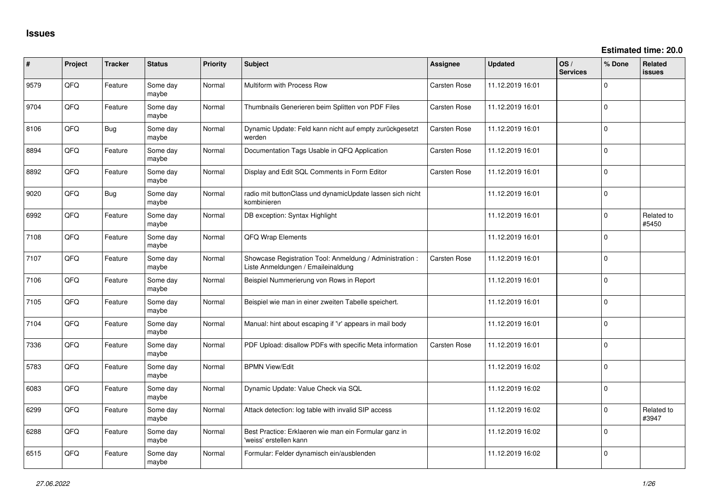| ∦    | Project | <b>Tracker</b> | <b>Status</b>     | <b>Priority</b> | <b>Subject</b>                                                                                 | Assignee            | <b>Updated</b>   | OS/<br><b>Services</b> | % Done       | Related<br><b>issues</b> |
|------|---------|----------------|-------------------|-----------------|------------------------------------------------------------------------------------------------|---------------------|------------------|------------------------|--------------|--------------------------|
| 9579 | QFQ     | Feature        | Some day<br>maybe | Normal          | Multiform with Process Row                                                                     | <b>Carsten Rose</b> | 11.12.2019 16:01 |                        | $\Omega$     |                          |
| 9704 | QFQ     | Feature        | Some day<br>maybe | Normal          | Thumbnails Generieren beim Splitten von PDF Files                                              | <b>Carsten Rose</b> | 11.12.2019 16:01 |                        | $\Omega$     |                          |
| 8106 | QFQ     | <b>Bug</b>     | Some day<br>maybe | Normal          | Dynamic Update: Feld kann nicht auf empty zurückgesetzt<br>werden                              | Carsten Rose        | 11.12.2019 16:01 |                        | $\mathbf{0}$ |                          |
| 8894 | QFQ     | Feature        | Some day<br>maybe | Normal          | Documentation Tags Usable in QFQ Application                                                   | Carsten Rose        | 11.12.2019 16:01 |                        | $\Omega$     |                          |
| 8892 | QFQ     | Feature        | Some day<br>maybe | Normal          | Display and Edit SQL Comments in Form Editor                                                   | Carsten Rose        | 11.12.2019 16:01 |                        | $\Omega$     |                          |
| 9020 | QFQ     | Bug            | Some day<br>maybe | Normal          | radio mit buttonClass und dynamicUpdate lassen sich nicht<br>kombinieren                       |                     | 11.12.2019 16:01 |                        | $\Omega$     |                          |
| 6992 | QFQ     | Feature        | Some day<br>maybe | Normal          | DB exception: Syntax Highlight                                                                 |                     | 11.12.2019 16:01 |                        | $\Omega$     | Related to<br>#5450      |
| 7108 | QFQ     | Feature        | Some day<br>maybe | Normal          | QFQ Wrap Elements                                                                              |                     | 11.12.2019 16:01 |                        | 0            |                          |
| 7107 | QFQ     | Feature        | Some day<br>maybe | Normal          | Showcase Registration Tool: Anmeldung / Administration :<br>Liste Anmeldungen / Emaileinaldung | <b>Carsten Rose</b> | 11.12.2019 16:01 |                        | $\Omega$     |                          |
| 7106 | QFQ     | Feature        | Some day<br>maybe | Normal          | Beispiel Nummerierung von Rows in Report                                                       |                     | 11.12.2019 16:01 |                        | $\Omega$     |                          |
| 7105 | QFQ     | Feature        | Some day<br>maybe | Normal          | Beispiel wie man in einer zweiten Tabelle speichert.                                           |                     | 11.12.2019 16:01 |                        | $\Omega$     |                          |
| 7104 | QFQ     | Feature        | Some day<br>maybe | Normal          | Manual: hint about escaping if '\r' appears in mail body                                       |                     | 11.12.2019 16:01 |                        | 0            |                          |
| 7336 | QFQ     | Feature        | Some day<br>maybe | Normal          | PDF Upload: disallow PDFs with specific Meta information                                       | <b>Carsten Rose</b> | 11.12.2019 16:01 |                        | 0            |                          |
| 5783 | QFQ     | Feature        | Some day<br>maybe | Normal          | <b>BPMN View/Edit</b>                                                                          |                     | 11.12.2019 16:02 |                        | 0            |                          |
| 6083 | QFQ     | Feature        | Some day<br>maybe | Normal          | Dynamic Update: Value Check via SQL                                                            |                     | 11.12.2019 16:02 |                        | 0            |                          |
| 6299 | QFQ     | Feature        | Some day<br>maybe | Normal          | Attack detection: log table with invalid SIP access                                            |                     | 11.12.2019 16:02 |                        | $\Omega$     | Related to<br>#3947      |
| 6288 | QFQ     | Feature        | Some day<br>maybe | Normal          | Best Practice: Erklaeren wie man ein Formular ganz in<br>'weiss' erstellen kann                |                     | 11.12.2019 16:02 |                        | 0            |                          |
| 6515 | QFQ     | Feature        | Some day<br>maybe | Normal          | Formular: Felder dynamisch ein/ausblenden                                                      |                     | 11.12.2019 16:02 |                        | $\Omega$     |                          |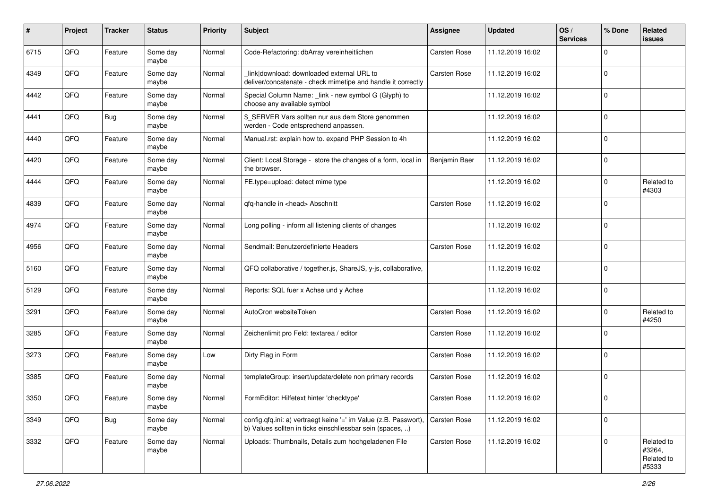| #    | Project | <b>Tracker</b> | <b>Status</b>     | Priority | <b>Subject</b>                                                                                                                | <b>Assignee</b>     | <b>Updated</b>   | OS/<br><b>Services</b> | % Done       | Related<br><b>issues</b>                    |
|------|---------|----------------|-------------------|----------|-------------------------------------------------------------------------------------------------------------------------------|---------------------|------------------|------------------------|--------------|---------------------------------------------|
| 6715 | QFQ     | Feature        | Some day<br>maybe | Normal   | Code-Refactoring: dbArray vereinheitlichen                                                                                    | Carsten Rose        | 11.12.2019 16:02 |                        | $\Omega$     |                                             |
| 4349 | QFQ     | Feature        | Some day<br>maybe | Normal   | link download: downloaded external URL to<br>deliver/concatenate - check mimetipe and handle it correctly                     | <b>Carsten Rose</b> | 11.12.2019 16:02 |                        | l 0          |                                             |
| 4442 | QFQ     | Feature        | Some day<br>maybe | Normal   | Special Column Name: _link - new symbol G (Glyph) to<br>choose any available symbol                                           |                     | 11.12.2019 16:02 |                        | $\Omega$     |                                             |
| 4441 | QFQ     | Bug            | Some day<br>maybe | Normal   | \$ SERVER Vars sollten nur aus dem Store genommen<br>werden - Code entsprechend anpassen.                                     |                     | 11.12.2019 16:02 |                        | $\mathbf 0$  |                                             |
| 4440 | QFQ     | Feature        | Some day<br>maybe | Normal   | Manual.rst: explain how to. expand PHP Session to 4h                                                                          |                     | 11.12.2019 16:02 |                        | l 0          |                                             |
| 4420 | QFQ     | Feature        | Some day<br>maybe | Normal   | Client: Local Storage - store the changes of a form, local in<br>the browser.                                                 | Benjamin Baer       | 11.12.2019 16:02 |                        | $\Omega$     |                                             |
| 4444 | QFQ     | Feature        | Some day<br>maybe | Normal   | FE.type=upload: detect mime type                                                                                              |                     | 11.12.2019 16:02 |                        | $\mathbf 0$  | Related to<br>#4303                         |
| 4839 | QFQ     | Feature        | Some day<br>maybe | Normal   | qfq-handle in <head> Abschnitt</head>                                                                                         | <b>Carsten Rose</b> | 11.12.2019 16:02 |                        | $\Omega$     |                                             |
| 4974 | QFQ     | Feature        | Some day<br>maybe | Normal   | Long polling - inform all listening clients of changes                                                                        |                     | 11.12.2019 16:02 |                        | l 0          |                                             |
| 4956 | QFQ     | Feature        | Some day<br>maybe | Normal   | Sendmail: Benutzerdefinierte Headers                                                                                          | <b>Carsten Rose</b> | 11.12.2019 16:02 |                        | $\Omega$     |                                             |
| 5160 | QFQ     | Feature        | Some day<br>maybe | Normal   | QFQ collaborative / together.js, ShareJS, y-js, collaborative,                                                                |                     | 11.12.2019 16:02 |                        | l 0          |                                             |
| 5129 | QFQ     | Feature        | Some day<br>maybe | Normal   | Reports: SQL fuer x Achse und y Achse                                                                                         |                     | 11.12.2019 16:02 |                        | $\mathbf 0$  |                                             |
| 3291 | QFQ     | Feature        | Some day<br>maybe | Normal   | AutoCron websiteToken                                                                                                         | <b>Carsten Rose</b> | 11.12.2019 16:02 |                        | $\Omega$     | Related to<br>#4250                         |
| 3285 | QFQ     | Feature        | Some day<br>maybe | Normal   | Zeichenlimit pro Feld: textarea / editor                                                                                      | <b>Carsten Rose</b> | 11.12.2019 16:02 |                        | $\Omega$     |                                             |
| 3273 | QFQ     | Feature        | Some day<br>maybe | Low      | Dirty Flag in Form                                                                                                            | <b>Carsten Rose</b> | 11.12.2019 16:02 |                        | $\mathbf 0$  |                                             |
| 3385 | QFQ     | Feature        | Some day<br>maybe | Normal   | templateGroup: insert/update/delete non primary records                                                                       | Carsten Rose        | 11.12.2019 16:02 |                        | l 0          |                                             |
| 3350 | QFQ     | Feature        | Some day<br>maybe | Normal   | FormEditor: Hilfetext hinter 'checktype'                                                                                      | <b>Carsten Rose</b> | 11.12.2019 16:02 |                        | l 0          |                                             |
| 3349 | QFQ     | Bug            | Some day<br>maybe | Normal   | config.qfq.ini: a) vertraegt keine '=' im Value (z.B. Passwort),<br>b) Values sollten in ticks einschliessbar sein (spaces, ) | <b>Carsten Rose</b> | 11.12.2019 16:02 |                        | l 0          |                                             |
| 3332 | QFQ     | Feature        | Some day<br>maybe | Normal   | Uploads: Thumbnails, Details zum hochgeladenen File                                                                           | Carsten Rose        | 11.12.2019 16:02 |                        | $\mathbf{0}$ | Related to<br>#3264,<br>Related to<br>#5333 |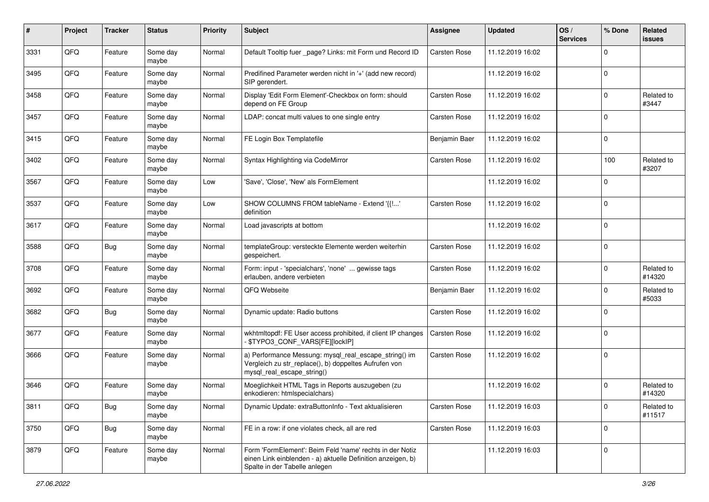| $\pmb{\#}$ | Project | <b>Tracker</b> | <b>Status</b>     | <b>Priority</b> | Subject                                                                                                                                                  | <b>Assignee</b>     | <b>Updated</b>   | OS/<br><b>Services</b> | % Done      | Related<br><b>issues</b> |
|------------|---------|----------------|-------------------|-----------------|----------------------------------------------------------------------------------------------------------------------------------------------------------|---------------------|------------------|------------------------|-------------|--------------------------|
| 3331       | QFQ     | Feature        | Some day<br>maybe | Normal          | Default Tooltip fuer _page? Links: mit Form und Record ID                                                                                                | <b>Carsten Rose</b> | 11.12.2019 16:02 |                        | $\Omega$    |                          |
| 3495       | QFQ     | Feature        | Some day<br>maybe | Normal          | Predifined Parameter werden nicht in '+' (add new record)<br>SIP gerendert.                                                                              |                     | 11.12.2019 16:02 |                        | l 0         |                          |
| 3458       | QFQ     | Feature        | Some day<br>maybe | Normal          | Display 'Edit Form Element'-Checkbox on form: should<br>depend on FE Group                                                                               | <b>Carsten Rose</b> | 11.12.2019 16:02 |                        | $\Omega$    | Related to<br>#3447      |
| 3457       | QFQ     | Feature        | Some day<br>maybe | Normal          | LDAP: concat multi values to one single entry                                                                                                            | <b>Carsten Rose</b> | 11.12.2019 16:02 |                        | l 0         |                          |
| 3415       | QFQ     | Feature        | Some day<br>maybe | Normal          | FE Login Box Templatefile                                                                                                                                | Benjamin Baer       | 11.12.2019 16:02 |                        | l 0         |                          |
| 3402       | QFQ     | Feature        | Some day<br>maybe | Normal          | Syntax Highlighting via CodeMirror                                                                                                                       | Carsten Rose        | 11.12.2019 16:02 |                        | 100         | Related to<br>#3207      |
| 3567       | QFQ     | Feature        | Some day<br>maybe | Low             | 'Save', 'Close', 'New' als FormElement                                                                                                                   |                     | 11.12.2019 16:02 |                        | l 0         |                          |
| 3537       | QFQ     | Feature        | Some day<br>maybe | Low             | SHOW COLUMNS FROM tableName - Extend '{{!'<br>definition                                                                                                 | <b>Carsten Rose</b> | 11.12.2019 16:02 |                        | l 0         |                          |
| 3617       | QFQ     | Feature        | Some day<br>maybe | Normal          | Load javascripts at bottom                                                                                                                               |                     | 11.12.2019 16:02 |                        | l 0         |                          |
| 3588       | QFQ     | Bug            | Some day<br>maybe | Normal          | templateGroup: versteckte Elemente werden weiterhin<br>gespeichert.                                                                                      | <b>Carsten Rose</b> | 11.12.2019 16:02 |                        | l 0         |                          |
| 3708       | QFQ     | Feature        | Some day<br>maybe | Normal          | Form: input - 'specialchars', 'none'  gewisse tags<br>erlauben, andere verbieten                                                                         | <b>Carsten Rose</b> | 11.12.2019 16:02 |                        | $\mathbf 0$ | Related to<br>#14320     |
| 3692       | QFQ     | Feature        | Some day<br>maybe | Normal          | QFQ Webseite                                                                                                                                             | Benjamin Baer       | 11.12.2019 16:02 |                        | $\mathbf 0$ | Related to<br>#5033      |
| 3682       | QFQ     | <b>Bug</b>     | Some day<br>maybe | Normal          | Dynamic update: Radio buttons                                                                                                                            | <b>Carsten Rose</b> | 11.12.2019 16:02 |                        | $\Omega$    |                          |
| 3677       | QFQ     | Feature        | Some day<br>maybe | Normal          | wkhtmltopdf: FE User access prohibited, if client IP changes<br>\$TYPO3_CONF_VARS[FE][lockIP]                                                            | Carsten Rose        | 11.12.2019 16:02 |                        | l 0         |                          |
| 3666       | QFQ     | Feature        | Some day<br>maybe | Normal          | a) Performance Messung: mysql_real_escape_string() im<br>Vergleich zu str_replace(), b) doppeltes Aufrufen von<br>mysql_real_escape_string()             | <b>Carsten Rose</b> | 11.12.2019 16:02 |                        | l 0         |                          |
| 3646       | QFQ     | Feature        | Some day<br>maybe | Normal          | Moeglichkeit HTML Tags in Reports auszugeben (zu<br>enkodieren: htmlspecialchars)                                                                        |                     | 11.12.2019 16:02 |                        | $\mathbf 0$ | Related to<br>#14320     |
| 3811       | QFQ     | Bug            | Some day<br>maybe | Normal          | Dynamic Update: extraButtonInfo - Text aktualisieren                                                                                                     | Carsten Rose        | 11.12.2019 16:03 |                        | 0           | Related to<br>#11517     |
| 3750       | QFQ     | <b>Bug</b>     | Some day<br>maybe | Normal          | FE in a row: if one violates check, all are red                                                                                                          | Carsten Rose        | 11.12.2019 16:03 |                        | ١o          |                          |
| 3879       | QFQ     | Feature        | Some day<br>maybe | Normal          | Form 'FormElement': Beim Feld 'name' rechts in der Notiz<br>einen Link einblenden - a) aktuelle Definition anzeigen, b)<br>Spalte in der Tabelle anlegen |                     | 11.12.2019 16:03 |                        | 0           |                          |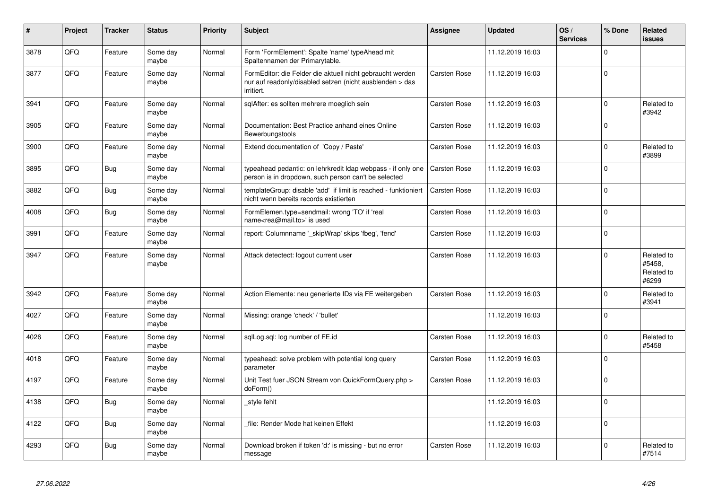| #    | Project | <b>Tracker</b> | <b>Status</b>     | Priority | <b>Subject</b>                                                                                                                      | <b>Assignee</b>     | <b>Updated</b>   | OS/<br><b>Services</b> | % Done      | Related<br><b>issues</b>                    |
|------|---------|----------------|-------------------|----------|-------------------------------------------------------------------------------------------------------------------------------------|---------------------|------------------|------------------------|-------------|---------------------------------------------|
| 3878 | QFQ     | Feature        | Some day<br>maybe | Normal   | Form 'FormElement': Spalte 'name' typeAhead mit<br>Spaltennamen der Primarytable.                                                   |                     | 11.12.2019 16:03 |                        | $\Omega$    |                                             |
| 3877 | QFQ     | Feature        | Some day<br>maybe | Normal   | FormEditor: die Felder die aktuell nicht gebraucht werden<br>nur auf readonly/disabled setzen (nicht ausblenden > das<br>irritiert. | <b>Carsten Rose</b> | 11.12.2019 16:03 |                        | $\Omega$    |                                             |
| 3941 | QFQ     | Feature        | Some day<br>maybe | Normal   | sqlAfter: es sollten mehrere moeglich sein                                                                                          | Carsten Rose        | 11.12.2019 16:03 |                        | $\Omega$    | Related to<br>#3942                         |
| 3905 | QFQ     | Feature        | Some day<br>maybe | Normal   | Documentation: Best Practice anhand eines Online<br>Bewerbungstools                                                                 | Carsten Rose        | 11.12.2019 16:03 |                        | $\mathbf 0$ |                                             |
| 3900 | QFQ     | Feature        | Some day<br>maybe | Normal   | Extend documentation of 'Copy / Paste'                                                                                              | <b>Carsten Rose</b> | 11.12.2019 16:03 |                        | $\Omega$    | Related to<br>#3899                         |
| 3895 | QFQ     | <b>Bug</b>     | Some day<br>maybe | Normal   | typeahead pedantic: on lehrkredit Idap webpass - if only one<br>person is in dropdown, such person can't be selected                | <b>Carsten Rose</b> | 11.12.2019 16:03 |                        | $\Omega$    |                                             |
| 3882 | QFQ     | <b>Bug</b>     | Some day<br>maybe | Normal   | templateGroup: disable 'add' if limit is reached - funktioniert<br>nicht wenn bereits records existierten                           | <b>Carsten Rose</b> | 11.12.2019 16:03 |                        | $\mathbf 0$ |                                             |
| 4008 | QFQ     | Bug            | Some day<br>maybe | Normal   | FormElemen.type=sendmail: wrong 'TO' if 'real<br>name <rea@mail.to>' is used</rea@mail.to>                                          | <b>Carsten Rose</b> | 11.12.2019 16:03 |                        | $\Omega$    |                                             |
| 3991 | QFQ     | Feature        | Some day<br>maybe | Normal   | report: Columnname '_skipWrap' skips 'fbeg', 'fend'                                                                                 | <b>Carsten Rose</b> | 11.12.2019 16:03 |                        | $\Omega$    |                                             |
| 3947 | QFQ     | Feature        | Some day<br>maybe | Normal   | Attack detectect: logout current user                                                                                               | <b>Carsten Rose</b> | 11.12.2019 16:03 |                        | $\Omega$    | Related to<br>#5458,<br>Related to<br>#6299 |
| 3942 | QFQ     | Feature        | Some day<br>maybe | Normal   | Action Elemente: neu generierte IDs via FE weitergeben                                                                              | <b>Carsten Rose</b> | 11.12.2019 16:03 |                        | $\Omega$    | Related to<br>#3941                         |
| 4027 | QFQ     | Feature        | Some day<br>maybe | Normal   | Missing: orange 'check' / 'bullet'                                                                                                  |                     | 11.12.2019 16:03 |                        | $\Omega$    |                                             |
| 4026 | QFQ     | Feature        | Some day<br>maybe | Normal   | sqlLog.sql: log number of FE.id                                                                                                     | <b>Carsten Rose</b> | 11.12.2019 16:03 |                        | $\mathbf 0$ | Related to<br>#5458                         |
| 4018 | QFQ     | Feature        | Some day<br>maybe | Normal   | typeahead: solve problem with potential long query<br>parameter                                                                     | <b>Carsten Rose</b> | 11.12.2019 16:03 |                        | $\Omega$    |                                             |
| 4197 | QFQ     | Feature        | Some day<br>maybe | Normal   | Unit Test fuer JSON Stream von QuickFormQuery.php ><br>doForm()                                                                     | Carsten Rose        | 11.12.2019 16:03 |                        | $\Omega$    |                                             |
| 4138 | QFQ     | Bug            | Some day<br>maybe | Normal   | style fehlt                                                                                                                         |                     | 11.12.2019 16:03 |                        | $\mathbf 0$ |                                             |
| 4122 | QFQ     | Bug            | Some day<br>maybe | Normal   | file: Render Mode hat keinen Effekt                                                                                                 |                     | 11.12.2019 16:03 |                        | $\Omega$    |                                             |
| 4293 | QFQ     | Bug            | Some day<br>maybe | Normal   | Download broken if token 'd:' is missing - but no error<br>message                                                                  | <b>Carsten Rose</b> | 11.12.2019 16:03 |                        | $\Omega$    | Related to<br>#7514                         |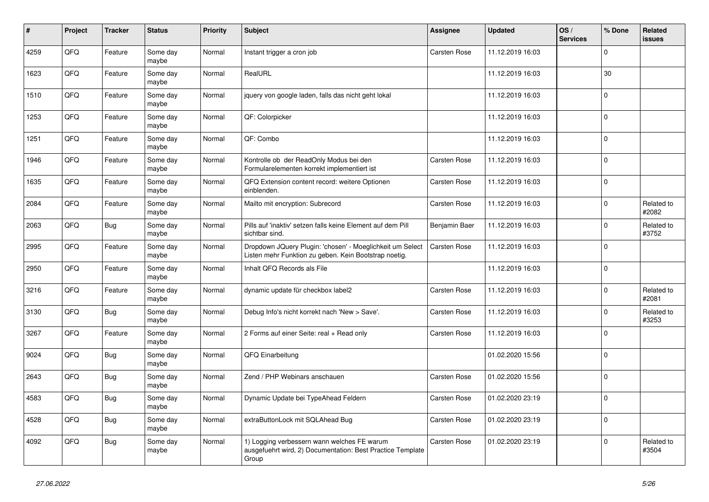| #    | Project | <b>Tracker</b> | <b>Status</b>     | Priority | <b>Subject</b>                                                                                                     | <b>Assignee</b>     | <b>Updated</b>   | OS/<br><b>Services</b> | % Done      | Related<br>issues   |
|------|---------|----------------|-------------------|----------|--------------------------------------------------------------------------------------------------------------------|---------------------|------------------|------------------------|-------------|---------------------|
| 4259 | QFQ     | Feature        | Some day<br>maybe | Normal   | Instant trigger a cron job                                                                                         | Carsten Rose        | 11.12.2019 16:03 |                        | $\Omega$    |                     |
| 1623 | QFQ     | Feature        | Some day<br>maybe | Normal   | RealURL                                                                                                            |                     | 11.12.2019 16:03 |                        | 30          |                     |
| 1510 | QFQ     | Feature        | Some day<br>maybe | Normal   | jquery von google laden, falls das nicht geht lokal                                                                |                     | 11.12.2019 16:03 |                        | $\Omega$    |                     |
| 1253 | QFQ     | Feature        | Some day<br>maybe | Normal   | QF: Colorpicker                                                                                                    |                     | 11.12.2019 16:03 |                        | $\mathbf 0$ |                     |
| 1251 | QFQ     | Feature        | Some day<br>maybe | Normal   | QF: Combo                                                                                                          |                     | 11.12.2019 16:03 |                        | l O         |                     |
| 1946 | QFQ     | Feature        | Some day<br>maybe | Normal   | Kontrolle ob der ReadOnly Modus bei den<br>Formularelementen korrekt implementiert ist                             | Carsten Rose        | 11.12.2019 16:03 |                        | $\Omega$    |                     |
| 1635 | QFQ     | Feature        | Some day<br>maybe | Normal   | QFQ Extension content record: weitere Optionen<br>einblenden.                                                      | Carsten Rose        | 11.12.2019 16:03 |                        | l 0         |                     |
| 2084 | QFQ     | Feature        | Some day<br>maybe | Normal   | Mailto mit encryption: Subrecord                                                                                   | <b>Carsten Rose</b> | 11.12.2019 16:03 |                        | $\mathbf 0$ | Related to<br>#2082 |
| 2063 | QFQ     | <b>Bug</b>     | Some day<br>maybe | Normal   | Pills auf 'inaktiv' setzen falls keine Element auf dem Pill<br>sichtbar sind.                                      | Benjamin Baer       | 11.12.2019 16:03 |                        | l 0         | Related to<br>#3752 |
| 2995 | QFQ     | Feature        | Some day<br>maybe | Normal   | Dropdown JQuery Plugin: 'chosen' - Moeglichkeit um Select<br>Listen mehr Funktion zu geben. Kein Bootstrap noetig. | Carsten Rose        | 11.12.2019 16:03 |                        | $\Omega$    |                     |
| 2950 | QFQ     | Feature        | Some day<br>maybe | Normal   | Inhalt QFQ Records als File                                                                                        |                     | 11.12.2019 16:03 |                        | l 0         |                     |
| 3216 | QFQ     | Feature        | Some day<br>maybe | Normal   | dynamic update für checkbox label2                                                                                 | <b>Carsten Rose</b> | 11.12.2019 16:03 |                        | l 0         | Related to<br>#2081 |
| 3130 | QFQ     | <b>Bug</b>     | Some day<br>maybe | Normal   | Debug Info's nicht korrekt nach 'New > Save'.                                                                      | <b>Carsten Rose</b> | 11.12.2019 16:03 |                        | $\Omega$    | Related to<br>#3253 |
| 3267 | QFQ     | Feature        | Some day<br>maybe | Normal   | 2 Forms auf einer Seite: real + Read only                                                                          | Carsten Rose        | 11.12.2019 16:03 |                        | l 0         |                     |
| 9024 | QFQ     | <b>Bug</b>     | Some day<br>maybe | Normal   | QFQ Einarbeitung                                                                                                   |                     | 01.02.2020 15:56 |                        | l 0         |                     |
| 2643 | QFQ     | <b>Bug</b>     | Some day<br>maybe | Normal   | Zend / PHP Webinars anschauen                                                                                      | <b>Carsten Rose</b> | 01.02.2020 15:56 |                        | l 0         |                     |
| 4583 | QFQ     | <b>Bug</b>     | Some day<br>maybe | Normal   | Dynamic Update bei TypeAhead Feldern                                                                               | <b>Carsten Rose</b> | 01.02.2020 23:19 |                        | l O         |                     |
| 4528 | QFQ     | Bug            | Some day<br>maybe | Normal   | extraButtonLock mit SQLAhead Bug                                                                                   | <b>Carsten Rose</b> | 01.02.2020 23:19 |                        | $\mathbf 0$ |                     |
| 4092 | QFQ     | Bug            | Some day<br>maybe | Normal   | 1) Logging verbessern wann welches FE warum<br>ausgefuehrt wird, 2) Documentation: Best Practice Template<br>Group | Carsten Rose        | 01.02.2020 23:19 |                        | l 0         | Related to<br>#3504 |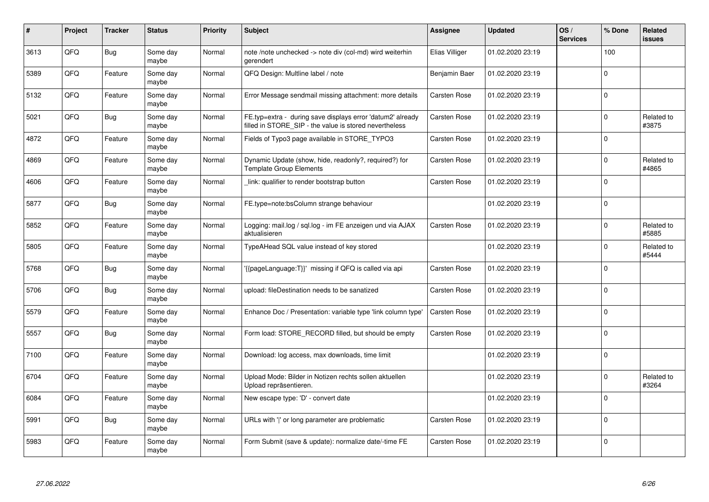| #    | Project | <b>Tracker</b> | <b>Status</b>     | <b>Priority</b> | <b>Subject</b>                                                                                                       | Assignee            | <b>Updated</b>   | OS/<br><b>Services</b> | % Done      | Related<br><b>issues</b> |
|------|---------|----------------|-------------------|-----------------|----------------------------------------------------------------------------------------------------------------------|---------------------|------------------|------------------------|-------------|--------------------------|
| 3613 | QFQ     | Bug            | Some day<br>maybe | Normal          | note /note unchecked -> note div (col-md) wird weiterhin<br>gerendert                                                | Elias Villiger      | 01.02.2020 23:19 |                        | 100         |                          |
| 5389 | QFQ     | Feature        | Some day<br>maybe | Normal          | QFQ Design: Multline label / note                                                                                    | Benjamin Baer       | 01.02.2020 23:19 |                        | $\mathbf 0$ |                          |
| 5132 | QFQ     | Feature        | Some day<br>maybe | Normal          | Error Message sendmail missing attachment: more details                                                              | <b>Carsten Rose</b> | 01.02.2020 23:19 |                        | $\mathbf 0$ |                          |
| 5021 | QFQ     | Bug            | Some day<br>maybe | Normal          | FE.typ=extra - during save displays error 'datum2' already<br>filled in STORE SIP - the value is stored nevertheless | <b>Carsten Rose</b> | 01.02.2020 23:19 |                        | $\Omega$    | Related to<br>#3875      |
| 4872 | QFQ     | Feature        | Some day<br>maybe | Normal          | Fields of Typo3 page available in STORE TYPO3                                                                        | Carsten Rose        | 01.02.2020 23:19 |                        | $\mathbf 0$ |                          |
| 4869 | QFQ     | Feature        | Some day<br>maybe | Normal          | Dynamic Update (show, hide, readonly?, required?) for<br><b>Template Group Elements</b>                              | <b>Carsten Rose</b> | 01.02.2020 23:19 |                        | $\mathbf 0$ | Related to<br>#4865      |
| 4606 | QFQ     | Feature        | Some day<br>maybe | Normal          | link: qualifier to render bootstrap button                                                                           | <b>Carsten Rose</b> | 01.02.2020 23:19 |                        | $\Omega$    |                          |
| 5877 | QFQ     | <b>Bug</b>     | Some day<br>maybe | Normal          | FE.type=note:bsColumn strange behaviour                                                                              |                     | 01.02.2020 23:19 |                        | $\Omega$    |                          |
| 5852 | QFQ     | Feature        | Some day<br>maybe | Normal          | Logging: mail.log / sql.log - im FE anzeigen und via AJAX<br>aktualisieren                                           | <b>Carsten Rose</b> | 01.02.2020 23:19 |                        | $\mathbf 0$ | Related to<br>#5885      |
| 5805 | QFQ     | Feature        | Some day<br>maybe | Normal          | TypeAHead SQL value instead of key stored                                                                            |                     | 01.02.2020 23:19 |                        | $\mathbf 0$ | Related to<br>#5444      |
| 5768 | QFQ     | <b>Bug</b>     | Some day<br>maybe | Normal          | {{pageLanguage:T}}' missing if QFQ is called via api                                                                 | <b>Carsten Rose</b> | 01.02.2020 23:19 |                        | $\Omega$    |                          |
| 5706 | QFQ     | Bug            | Some day<br>maybe | Normal          | upload: fileDestination needs to be sanatized                                                                        | <b>Carsten Rose</b> | 01.02.2020 23:19 |                        | $\mathbf 0$ |                          |
| 5579 | QFQ     | Feature        | Some day<br>maybe | Normal          | Enhance Doc / Presentation: variable type 'link column type'                                                         | <b>Carsten Rose</b> | 01.02.2020 23:19 |                        | $\mathbf 0$ |                          |
| 5557 | QFQ     | Bug            | Some day<br>maybe | Normal          | Form load: STORE RECORD filled, but should be empty                                                                  | <b>Carsten Rose</b> | 01.02.2020 23:19 |                        | $\pmb{0}$   |                          |
| 7100 | QFQ     | Feature        | Some day<br>maybe | Normal          | Download: log access, max downloads, time limit                                                                      |                     | 01.02.2020 23:19 |                        | $\Omega$    |                          |
| 6704 | QFQ     | Feature        | Some day<br>maybe | Normal          | Upload Mode: Bilder in Notizen rechts sollen aktuellen<br>Upload repräsentieren.                                     |                     | 01.02.2020 23:19 |                        | $\Omega$    | Related to<br>#3264      |
| 6084 | QFQ     | Feature        | Some day<br>maybe | Normal          | New escape type: 'D' - convert date                                                                                  |                     | 01.02.2020 23:19 |                        | $\mathbf 0$ |                          |
| 5991 | QFQ     | Bug            | Some day<br>maybe | Normal          | URLs with ' ' or long parameter are problematic                                                                      | <b>Carsten Rose</b> | 01.02.2020 23:19 |                        | $\Omega$    |                          |
| 5983 | QFQ     | Feature        | Some day<br>maybe | Normal          | Form Submit (save & update): normalize date/-time FE                                                                 | <b>Carsten Rose</b> | 01.02.2020 23:19 |                        | $\Omega$    |                          |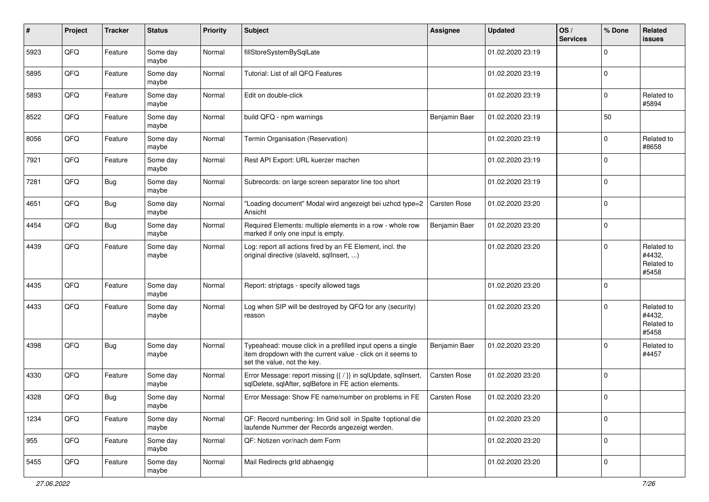| $\sharp$ | Project | <b>Tracker</b> | <b>Status</b>     | <b>Priority</b> | <b>Subject</b>                                                                                                                                           | Assignee            | Updated          | OS/<br><b>Services</b> | % Done      | Related<br><b>issues</b>                    |
|----------|---------|----------------|-------------------|-----------------|----------------------------------------------------------------------------------------------------------------------------------------------------------|---------------------|------------------|------------------------|-------------|---------------------------------------------|
| 5923     | QFQ     | Feature        | Some day<br>maybe | Normal          | fillStoreSystemBySqlLate                                                                                                                                 |                     | 01.02.2020 23:19 |                        | $\mathbf 0$ |                                             |
| 5895     | QFQ     | Feature        | Some day<br>maybe | Normal          | Tutorial: List of all QFQ Features                                                                                                                       |                     | 01.02.2020 23:19 |                        | $\mathbf 0$ |                                             |
| 5893     | QFQ     | Feature        | Some day<br>maybe | Normal          | Edit on double-click                                                                                                                                     |                     | 01.02.2020 23:19 |                        | $\mathbf 0$ | Related to<br>#5894                         |
| 8522     | QFQ     | Feature        | Some day<br>maybe | Normal          | build QFQ - npm warnings                                                                                                                                 | Benjamin Baer       | 01.02.2020 23:19 |                        | 50          |                                             |
| 8056     | QFQ     | Feature        | Some day<br>maybe | Normal          | Termin Organisation (Reservation)                                                                                                                        |                     | 01.02.2020 23:19 |                        | $\mathbf 0$ | Related to<br>#8658                         |
| 7921     | QFQ     | Feature        | Some day<br>maybe | Normal          | Rest API Export: URL kuerzer machen                                                                                                                      |                     | 01.02.2020 23:19 |                        | $\mathbf 0$ |                                             |
| 7281     | QFQ     | Bug            | Some day<br>maybe | Normal          | Subrecords: on large screen separator line too short                                                                                                     |                     | 01.02.2020 23:19 |                        | $\mathbf 0$ |                                             |
| 4651     | QFQ     | Bug            | Some day<br>maybe | Normal          | 'Loading document" Modal wird angezeigt bei uzhcd type=2<br>Ansicht                                                                                      | <b>Carsten Rose</b> | 01.02.2020 23:20 |                        | $\pmb{0}$   |                                             |
| 4454     | QFQ     | <b>Bug</b>     | Some day<br>maybe | Normal          | Required Elements: multiple elements in a row - whole row<br>marked if only one input is empty.                                                          | Benjamin Baer       | 01.02.2020 23:20 |                        | $\pmb{0}$   |                                             |
| 4439     | QFQ     | Feature        | Some day<br>maybe | Normal          | Log: report all actions fired by an FE Element, incl. the<br>original directive (slaveld, sqllnsert, )                                                   |                     | 01.02.2020 23:20 |                        | $\mathbf 0$ | Related to<br>#4432,<br>Related to<br>#5458 |
| 4435     | QFQ     | Feature        | Some day<br>maybe | Normal          | Report: striptags - specify allowed tags                                                                                                                 |                     | 01.02.2020 23:20 |                        | $\mathbf 0$ |                                             |
| 4433     | QFQ     | Feature        | Some day<br>maybe | Normal          | Log when SIP will be destroyed by QFQ for any (security)<br>reason                                                                                       |                     | 01.02.2020 23:20 |                        | $\mathbf 0$ | Related to<br>#4432,<br>Related to<br>#5458 |
| 4398     | QFQ     | Bug            | Some day<br>maybe | Normal          | Typeahead: mouse click in a prefilled input opens a single<br>item dropdown with the current value - click on it seems to<br>set the value, not the key. | Benjamin Baer       | 01.02.2020 23:20 |                        | $\mathbf 0$ | Related to<br>#4457                         |
| 4330     | QFQ     | Feature        | Some day<br>maybe | Normal          | Error Message: report missing {{ / }} in sqlUpdate, sqlInsert,<br>sqlDelete, sqlAfter, sqlBefore in FE action elements.                                  | <b>Carsten Rose</b> | 01.02.2020 23:20 |                        | $\mathbf 0$ |                                             |
| 4328     | QFQ     | Bug            | Some day<br>maybe | Normal          | Error Message: Show FE name/number on problems in FE                                                                                                     | Carsten Rose        | 01.02.2020 23:20 |                        | $\mathbf 0$ |                                             |
| 1234     | QFQ     | Feature        | Some day<br>maybe | Normal          | QF: Record numbering: Im Grid soll in Spalte 1 optional die<br>laufende Nummer der Records angezeigt werden.                                             |                     | 01.02.2020 23:20 |                        | $\mathbf 0$ |                                             |
| 955      | QFQ     | Feature        | Some day<br>maybe | Normal          | QF: Notizen vor/nach dem Form                                                                                                                            |                     | 01.02.2020 23:20 |                        | $\mathbf 0$ |                                             |
| 5455     | QFQ     | Feature        | Some day<br>maybe | Normal          | Mail Redirects grld abhaengig                                                                                                                            |                     | 01.02.2020 23:20 |                        | $\mathbf 0$ |                                             |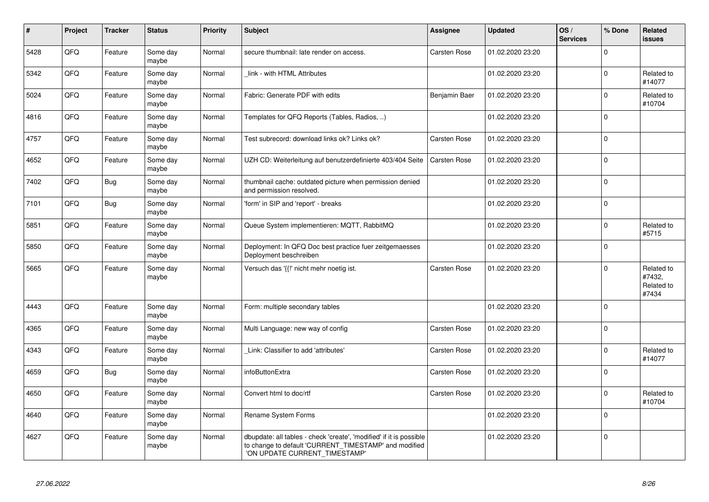| $\vert$ # | Project | <b>Tracker</b> | <b>Status</b>     | Priority | <b>Subject</b>                                                                                                                                                | Assignee            | <b>Updated</b>   | OS/<br><b>Services</b> | % Done      | Related<br><b>issues</b>                    |
|-----------|---------|----------------|-------------------|----------|---------------------------------------------------------------------------------------------------------------------------------------------------------------|---------------------|------------------|------------------------|-------------|---------------------------------------------|
| 5428      | QFQ     | Feature        | Some day<br>maybe | Normal   | secure thumbnail: late render on access.                                                                                                                      | <b>Carsten Rose</b> | 01.02.2020 23:20 |                        | $\Omega$    |                                             |
| 5342      | QFQ     | Feature        | Some day<br>maybe | Normal   | link - with HTML Attributes                                                                                                                                   |                     | 01.02.2020 23:20 |                        | $\Omega$    | Related to<br>#14077                        |
| 5024      | QFQ     | Feature        | Some day<br>maybe | Normal   | Fabric: Generate PDF with edits                                                                                                                               | Benjamin Baer       | 01.02.2020 23:20 |                        | $\Omega$    | Related to<br>#10704                        |
| 4816      | QFQ     | Feature        | Some day<br>maybe | Normal   | Templates for QFQ Reports (Tables, Radios, )                                                                                                                  |                     | 01.02.2020 23:20 |                        | $\Omega$    |                                             |
| 4757      | QFQ     | Feature        | Some day<br>maybe | Normal   | Test subrecord: download links ok? Links ok?                                                                                                                  | <b>Carsten Rose</b> | 01.02.2020 23:20 |                        | $\mathbf 0$ |                                             |
| 4652      | QFQ     | Feature        | Some day<br>maybe | Normal   | UZH CD: Weiterleitung auf benutzerdefinierte 403/404 Seite                                                                                                    | <b>Carsten Rose</b> | 01.02.2020 23:20 |                        | $\mathbf 0$ |                                             |
| 7402      | QFQ     | Bug            | Some day<br>maybe | Normal   | thumbnail cache: outdated picture when permission denied<br>and permission resolved.                                                                          |                     | 01.02.2020 23:20 |                        | $\Omega$    |                                             |
| 7101      | QFQ     | Bug            | Some day<br>maybe | Normal   | 'form' in SIP and 'report' - breaks                                                                                                                           |                     | 01.02.2020 23:20 |                        | $\Omega$    |                                             |
| 5851      | QFQ     | Feature        | Some day<br>maybe | Normal   | Queue System implementieren: MQTT, RabbitMQ                                                                                                                   |                     | 01.02.2020 23:20 |                        | $\mathbf 0$ | Related to<br>#5715                         |
| 5850      | QFQ     | Feature        | Some day<br>maybe | Normal   | Deployment: In QFQ Doc best practice fuer zeitgemaesses<br>Deployment beschreiben                                                                             |                     | 01.02.2020 23:20 |                        | $\Omega$    |                                             |
| 5665      | QFQ     | Feature        | Some day<br>maybe | Normal   | Versuch das '{{!' nicht mehr noetig ist.                                                                                                                      | Carsten Rose        | 01.02.2020 23:20 |                        | $\mathbf 0$ | Related to<br>#7432.<br>Related to<br>#7434 |
| 4443      | QFQ     | Feature        | Some day<br>maybe | Normal   | Form: multiple secondary tables                                                                                                                               |                     | 01.02.2020 23:20 |                        | $\Omega$    |                                             |
| 4365      | QFQ     | Feature        | Some day<br>maybe | Normal   | Multi Language: new way of config                                                                                                                             | <b>Carsten Rose</b> | 01.02.2020 23:20 |                        | $\Omega$    |                                             |
| 4343      | QFQ     | Feature        | Some day<br>maybe | Normal   | Link: Classifier to add 'attributes'                                                                                                                          | Carsten Rose        | 01.02.2020 23:20 |                        | $\Omega$    | Related to<br>#14077                        |
| 4659      | QFQ     | Bug            | Some day<br>maybe | Normal   | infoButtonExtra                                                                                                                                               | <b>Carsten Rose</b> | 01.02.2020 23:20 |                        | $\mathbf 0$ |                                             |
| 4650      | QFQ     | Feature        | Some day<br>maybe | Normal   | Convert html to doc/rtf                                                                                                                                       | <b>Carsten Rose</b> | 01.02.2020 23:20 |                        | $\mathbf 0$ | Related to<br>#10704                        |
| 4640      | QFQ     | Feature        | Some day<br>maybe | Normal   | Rename System Forms                                                                                                                                           |                     | 01.02.2020 23:20 |                        | $\Omega$    |                                             |
| 4627      | QFQ     | Feature        | Some day<br>maybe | Normal   | dbupdate: all tables - check 'create', 'modified' if it is possible<br>to change to default 'CURRENT TIMESTAMP' and modified<br>'ON UPDATE CURRENT_TIMESTAMP' |                     | 01.02.2020 23:20 |                        | $\mathbf 0$ |                                             |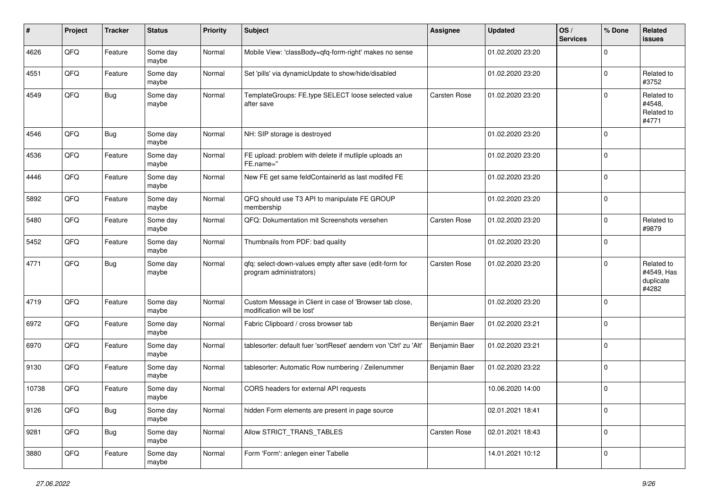| #     | Project | <b>Tracker</b> | <b>Status</b>     | <b>Priority</b> | <b>Subject</b>                                                                        | <b>Assignee</b>     | <b>Updated</b>   | OS/<br><b>Services</b> | % Done       | Related<br><b>issues</b>                       |
|-------|---------|----------------|-------------------|-----------------|---------------------------------------------------------------------------------------|---------------------|------------------|------------------------|--------------|------------------------------------------------|
| 4626  | QFQ     | Feature        | Some day<br>maybe | Normal          | Mobile View: 'classBody=qfq-form-right' makes no sense                                |                     | 01.02.2020 23:20 |                        | $\Omega$     |                                                |
| 4551  | QFQ     | Feature        | Some day<br>maybe | Normal          | Set 'pills' via dynamicUpdate to show/hide/disabled                                   |                     | 01.02.2020 23:20 |                        | $\Omega$     | Related to<br>#3752                            |
| 4549  | QFQ     | <b>Bug</b>     | Some day<br>maybe | Normal          | TemplateGroups: FE.type SELECT loose selected value<br>after save                     | <b>Carsten Rose</b> | 01.02.2020 23:20 |                        | $\Omega$     | Related to<br>#4548,<br>Related to<br>#4771    |
| 4546  | QFQ     | Bug            | Some day<br>maybe | Normal          | NH: SIP storage is destroyed                                                          |                     | 01.02.2020 23:20 |                        | $\mathbf 0$  |                                                |
| 4536  | QFQ     | Feature        | Some day<br>maybe | Normal          | FE upload: problem with delete if mutliple uploads an<br>FE.name="                    |                     | 01.02.2020 23:20 |                        | $\mathbf 0$  |                                                |
| 4446  | QFQ     | Feature        | Some day<br>maybe | Normal          | New FE get same feldContainerId as last modifed FE                                    |                     | 01.02.2020 23:20 |                        | $\mathbf 0$  |                                                |
| 5892  | QFQ     | Feature        | Some day<br>maybe | Normal          | QFQ should use T3 API to manipulate FE GROUP<br>membership                            |                     | 01.02.2020 23:20 |                        | $\Omega$     |                                                |
| 5480  | QFQ     | Feature        | Some day<br>maybe | Normal          | QFQ: Dokumentation mit Screenshots versehen                                           | <b>Carsten Rose</b> | 01.02.2020 23:20 |                        | $\Omega$     | Related to<br>#9879                            |
| 5452  | QFQ     | Feature        | Some day<br>maybe | Normal          | Thumbnails from PDF: bad quality                                                      |                     | 01.02.2020 23:20 |                        | $\Omega$     |                                                |
| 4771  | QFQ     | <b>Bug</b>     | Some day<br>maybe | Normal          | qfq: select-down-values empty after save (edit-form for<br>program administrators)    | <b>Carsten Rose</b> | 01.02.2020 23:20 |                        | $\mathbf 0$  | Related to<br>#4549, Has<br>duplicate<br>#4282 |
| 4719  | QFQ     | Feature        | Some day<br>maybe | Normal          | Custom Message in Client in case of 'Browser tab close,<br>modification will be lost' |                     | 01.02.2020 23:20 |                        | $\Omega$     |                                                |
| 6972  | QFQ     | Feature        | Some day<br>maybe | Normal          | Fabric Clipboard / cross browser tab                                                  | Benjamin Baer       | 01.02.2020 23:21 |                        | $\Omega$     |                                                |
| 6970  | QFQ     | Feature        | Some day<br>maybe | Normal          | tablesorter: default fuer 'sortReset' aendern von 'Ctrl' zu 'Alt'                     | Benjamin Baer       | 01.02.2020 23:21 |                        | $\mathbf 0$  |                                                |
| 9130  | QFQ     | Feature        | Some day<br>maybe | Normal          | tablesorter: Automatic Row numbering / Zeilenummer                                    | Benjamin Baer       | 01.02.2020 23:22 |                        | $\mathbf 0$  |                                                |
| 10738 | QFQ     | Feature        | Some day<br>maybe | Normal          | CORS headers for external API requests                                                |                     | 10.06.2020 14:00 |                        | $\mathbf{0}$ |                                                |
| 9126  | QFG     | <b>Bug</b>     | Some day<br>maybe | Normal          | hidden Form elements are present in page source                                       |                     | 02.01.2021 18:41 |                        | 0            |                                                |
| 9281  | QFQ     | <b>Bug</b>     | Some day<br>maybe | Normal          | Allow STRICT_TRANS_TABLES                                                             | Carsten Rose        | 02.01.2021 18:43 |                        | 0            |                                                |
| 3880  | QFQ     | Feature        | Some day<br>maybe | Normal          | Form 'Form': anlegen einer Tabelle                                                    |                     | 14.01.2021 10:12 |                        | l 0          |                                                |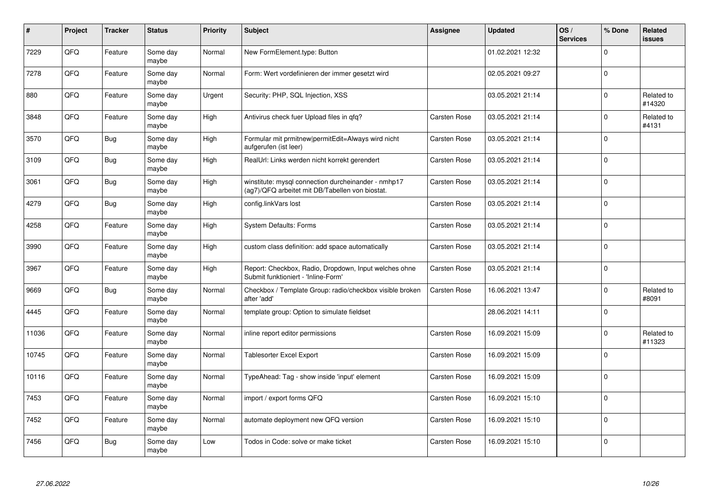| #     | Project | <b>Tracker</b> | <b>Status</b>     | <b>Priority</b> | <b>Subject</b>                                                                                         | <b>Assignee</b>     | <b>Updated</b>   | OS/<br><b>Services</b> | % Done      | Related<br><b>issues</b> |
|-------|---------|----------------|-------------------|-----------------|--------------------------------------------------------------------------------------------------------|---------------------|------------------|------------------------|-------------|--------------------------|
| 7229  | QFQ     | Feature        | Some day<br>maybe | Normal          | New FormElement.type: Button                                                                           |                     | 01.02.2021 12:32 |                        | $\Omega$    |                          |
| 7278  | QFQ     | Feature        | Some day<br>maybe | Normal          | Form: Wert vordefinieren der immer gesetzt wird                                                        |                     | 02.05.2021 09:27 |                        | $\Omega$    |                          |
| 880   | QFQ     | Feature        | Some day<br>maybe | Urgent          | Security: PHP, SQL Injection, XSS                                                                      |                     | 03.05.2021 21:14 |                        | l 0         | Related to<br>#14320     |
| 3848  | QFQ     | Feature        | Some day<br>maybe | High            | Antivirus check fuer Upload files in qfq?                                                              | <b>Carsten Rose</b> | 03.05.2021 21:14 |                        | $\Omega$    | Related to<br>#4131      |
| 3570  | QFQ     | Bug            | Some day<br>maybe | High            | Formular mit prmitnew permitEdit=Always wird nicht<br>aufgerufen (ist leer)                            | <b>Carsten Rose</b> | 03.05.2021 21:14 |                        | l 0         |                          |
| 3109  | QFQ     | <b>Bug</b>     | Some day<br>maybe | High            | RealUrl: Links werden nicht korrekt gerendert                                                          | Carsten Rose        | 03.05.2021 21:14 |                        | l o         |                          |
| 3061  | QFQ     | <b>Bug</b>     | Some day<br>maybe | High            | winstitute: mysql connection durcheinander - nmhp17<br>(ag7)/QFQ arbeitet mit DB/Tabellen von biostat. | <b>Carsten Rose</b> | 03.05.2021 21:14 |                        | l 0         |                          |
| 4279  | QFQ     | <b>Bug</b>     | Some day<br>maybe | High            | config.linkVars lost                                                                                   | <b>Carsten Rose</b> | 03.05.2021 21:14 |                        | $\Omega$    |                          |
| 4258  | QFQ     | Feature        | Some day<br>maybe | High            | <b>System Defaults: Forms</b>                                                                          | <b>Carsten Rose</b> | 03.05.2021 21:14 |                        | $\Omega$    |                          |
| 3990  | QFQ     | Feature        | Some day<br>maybe | High            | custom class definition: add space automatically                                                       | <b>Carsten Rose</b> | 03.05.2021 21:14 |                        | $\mathbf 0$ |                          |
| 3967  | QFQ     | Feature        | Some day<br>maybe | High            | Report: Checkbox, Radio, Dropdown, Input welches ohne<br>Submit funktioniert - 'Inline-Form'           | Carsten Rose        | 03.05.2021 21:14 |                        | $\Omega$    |                          |
| 9669  | QFQ     | <b>Bug</b>     | Some day<br>maybe | Normal          | Checkbox / Template Group: radio/checkbox visible broken<br>after 'add'                                | <b>Carsten Rose</b> | 16.06.2021 13:47 |                        | $\Omega$    | Related to<br>#8091      |
| 4445  | QFQ     | Feature        | Some day<br>maybe | Normal          | template group: Option to simulate fieldset                                                            |                     | 28.06.2021 14:11 |                        | l o         |                          |
| 11036 | QFQ     | Feature        | Some day<br>maybe | Normal          | inline report editor permissions                                                                       | <b>Carsten Rose</b> | 16.09.2021 15:09 |                        | $\Omega$    | Related to<br>#11323     |
| 10745 | QFQ     | Feature        | Some day<br>maybe | Normal          | Tablesorter Excel Export                                                                               | <b>Carsten Rose</b> | 16.09.2021 15:09 |                        | $\Omega$    |                          |
| 10116 | QFQ     | Feature        | Some day<br>maybe | Normal          | TypeAhead: Tag - show inside 'input' element                                                           | <b>Carsten Rose</b> | 16.09.2021 15:09 |                        | I٥          |                          |
| 7453  | QFQ     | Feature        | Some day<br>maybe | Normal          | import / export forms QFQ                                                                              | <b>Carsten Rose</b> | 16.09.2021 15:10 |                        | $\Omega$    |                          |
| 7452  | QFQ     | Feature        | Some day<br>maybe | Normal          | automate deployment new QFQ version                                                                    | Carsten Rose        | 16.09.2021 15:10 |                        | I٥          |                          |
| 7456  | QFQ     | <b>Bug</b>     | Some day<br>maybe | Low             | Todos in Code: solve or make ticket                                                                    | <b>Carsten Rose</b> | 16.09.2021 15:10 |                        | I٥          |                          |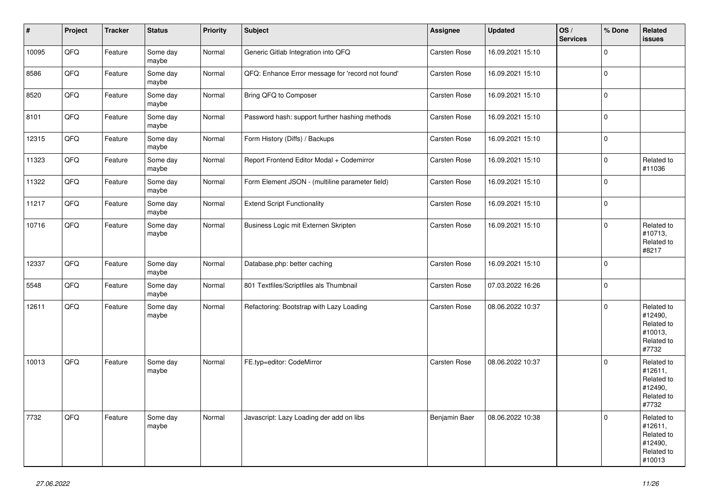| $\vert$ # | Project | <b>Tracker</b> | <b>Status</b>     | Priority | <b>Subject</b>                                    | Assignee            | <b>Updated</b>   | OS/<br><b>Services</b> | % Done              | Related<br><b>issues</b>                                               |
|-----------|---------|----------------|-------------------|----------|---------------------------------------------------|---------------------|------------------|------------------------|---------------------|------------------------------------------------------------------------|
| 10095     | QFQ     | Feature        | Some day<br>maybe | Normal   | Generic Gitlab Integration into QFQ               | Carsten Rose        | 16.09.2021 15:10 |                        | $\mathbf 0$         |                                                                        |
| 8586      | QFQ     | Feature        | Some day<br>maybe | Normal   | QFQ: Enhance Error message for 'record not found' | <b>Carsten Rose</b> | 16.09.2021 15:10 |                        | $\mathsf{O}\xspace$ |                                                                        |
| 8520      | QFQ     | Feature        | Some day<br>maybe | Normal   | Bring QFQ to Composer                             | <b>Carsten Rose</b> | 16.09.2021 15:10 |                        | $\mathbf 0$         |                                                                        |
| 8101      | QFQ     | Feature        | Some day<br>maybe | Normal   | Password hash: support further hashing methods    | Carsten Rose        | 16.09.2021 15:10 |                        | $\mathbf 0$         |                                                                        |
| 12315     | QFQ     | Feature        | Some day<br>maybe | Normal   | Form History (Diffs) / Backups                    | Carsten Rose        | 16.09.2021 15:10 |                        | $\pmb{0}$           |                                                                        |
| 11323     | QFQ     | Feature        | Some day<br>maybe | Normal   | Report Frontend Editor Modal + Codemirror         | Carsten Rose        | 16.09.2021 15:10 |                        | $\mathbf 0$         | Related to<br>#11036                                                   |
| 11322     | QFQ     | Feature        | Some day<br>maybe | Normal   | Form Element JSON - (multiline parameter field)   | Carsten Rose        | 16.09.2021 15:10 |                        | $\mathbf 0$         |                                                                        |
| 11217     | QFQ     | Feature        | Some day<br>maybe | Normal   | <b>Extend Script Functionality</b>                | <b>Carsten Rose</b> | 16.09.2021 15:10 |                        | $\mathsf 0$         |                                                                        |
| 10716     | QFQ     | Feature        | Some day<br>maybe | Normal   | Business Logic mit Externen Skripten              | Carsten Rose        | 16.09.2021 15:10 |                        | $\mathbf 0$         | Related to<br>#10713,<br>Related to<br>#8217                           |
| 12337     | QFQ     | Feature        | Some day<br>maybe | Normal   | Database.php: better caching                      | Carsten Rose        | 16.09.2021 15:10 |                        | $\mathbf 0$         |                                                                        |
| 5548      | QFQ     | Feature        | Some day<br>maybe | Normal   | 801 Textfiles/Scriptfiles als Thumbnail           | Carsten Rose        | 07.03.2022 16:26 |                        | $\mathbf 0$         |                                                                        |
| 12611     | QFQ     | Feature        | Some day<br>maybe | Normal   | Refactoring: Bootstrap with Lazy Loading          | <b>Carsten Rose</b> | 08.06.2022 10:37 |                        | $\Omega$            | Related to<br>#12490,<br>Related to<br>#10013,<br>Related to<br>#7732  |
| 10013     | QFQ     | Feature        | Some day<br>maybe | Normal   | FE.typ=editor: CodeMirror                         | Carsten Rose        | 08.06.2022 10:37 |                        | $\mathbf 0$         | Related to<br>#12611,<br>Related to<br>#12490,<br>Related to<br>#7732  |
| 7732      | QFQ     | Feature        | Some day<br>maybe | Normal   | Javascript: Lazy Loading der add on libs          | Benjamin Baer       | 08.06.2022 10:38 |                        | $\mathbf 0$         | Related to<br>#12611,<br>Related to<br>#12490,<br>Related to<br>#10013 |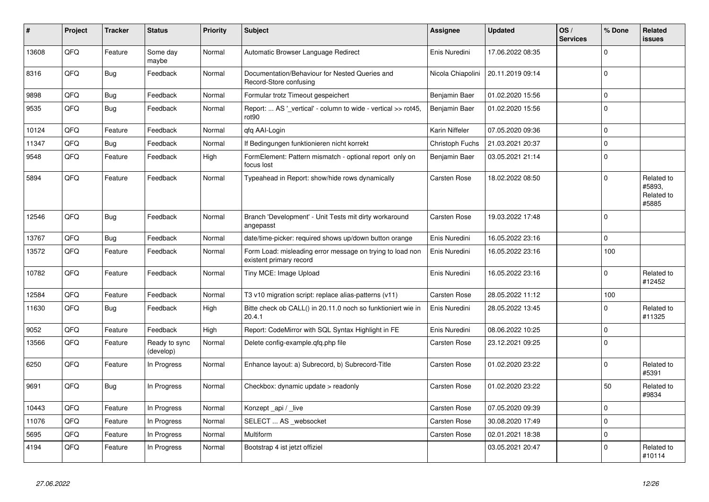| #     | Project | <b>Tracker</b> | <b>Status</b>              | <b>Priority</b> | <b>Subject</b>                                                                       | Assignee            | <b>Updated</b>   | OS/<br><b>Services</b> | % Done      | Related<br><b>issues</b>                    |
|-------|---------|----------------|----------------------------|-----------------|--------------------------------------------------------------------------------------|---------------------|------------------|------------------------|-------------|---------------------------------------------|
| 13608 | QFQ     | Feature        | Some day<br>maybe          | Normal          | Automatic Browser Language Redirect                                                  | Enis Nuredini       | 17.06.2022 08:35 |                        | $\Omega$    |                                             |
| 8316  | QFQ     | Bug            | Feedback                   | Normal          | Documentation/Behaviour for Nested Queries and<br>Record-Store confusing             | Nicola Chiapolini   | 20.11.2019 09:14 |                        | $\mathbf 0$ |                                             |
| 9898  | QFQ     | <b>Bug</b>     | Feedback                   | Normal          | Formular trotz Timeout gespeichert                                                   | Benjamin Baer       | 01.02.2020 15:56 |                        | $\mathbf 0$ |                                             |
| 9535  | QFQ     | <b>Bug</b>     | Feedback                   | Normal          | Report:  AS '_vertical' - column to wide - vertical >> rot45,<br>rot <sub>90</sub>   | Benjamin Baer       | 01.02.2020 15:56 |                        | $\mathbf 0$ |                                             |
| 10124 | QFQ     | Feature        | Feedback                   | Normal          | gfg AAI-Login                                                                        | Karin Niffeler      | 07.05.2020 09:36 |                        | $\Omega$    |                                             |
| 11347 | QFQ     | <b>Bug</b>     | Feedback                   | Normal          | If Bedingungen funktionieren nicht korrekt                                           | Christoph Fuchs     | 21.03.2021 20:37 |                        | $\mathbf 0$ |                                             |
| 9548  | QFQ     | Feature        | Feedback                   | High            | FormElement: Pattern mismatch - optional report only on<br>focus lost                | Benjamin Baer       | 03.05.2021 21:14 |                        | $\Omega$    |                                             |
| 5894  | QFQ     | Feature        | Feedback                   | Normal          | Typeahead in Report: show/hide rows dynamically                                      | <b>Carsten Rose</b> | 18.02.2022 08:50 |                        | $\Omega$    | Related to<br>#5893,<br>Related to<br>#5885 |
| 12546 | QFQ     | <b>Bug</b>     | Feedback                   | Normal          | Branch 'Development' - Unit Tests mit dirty workaround<br>angepasst                  | <b>Carsten Rose</b> | 19.03.2022 17:48 |                        | $\Omega$    |                                             |
| 13767 | QFQ     | <b>Bug</b>     | Feedback                   | Normal          | date/time-picker: required shows up/down button orange                               | Enis Nuredini       | 16.05.2022 23:16 |                        | $\mathbf 0$ |                                             |
| 13572 | QFQ     | Feature        | Feedback                   | Normal          | Form Load: misleading error message on trying to load non<br>existent primary record | Enis Nuredini       | 16.05.2022 23:16 |                        | 100         |                                             |
| 10782 | QFQ     | Feature        | Feedback                   | Normal          | Tiny MCE: Image Upload                                                               | Enis Nuredini       | 16.05.2022 23:16 |                        | $\Omega$    | Related to<br>#12452                        |
| 12584 | QFQ     | Feature        | Feedback                   | Normal          | T3 v10 migration script: replace alias-patterns (v11)                                | Carsten Rose        | 28.05.2022 11:12 |                        | 100         |                                             |
| 11630 | QFQ     | <b>Bug</b>     | Feedback                   | High            | Bitte check ob CALL() in 20.11.0 noch so funktioniert wie in<br>20.4.1               | Enis Nuredini       | 28.05.2022 13:45 |                        | $\Omega$    | Related to<br>#11325                        |
| 9052  | QFQ     | Feature        | Feedback                   | High            | Report: CodeMirror with SQL Syntax Highlight in FE                                   | Enis Nuredini       | 08.06.2022 10:25 |                        | $\Omega$    |                                             |
| 13566 | QFQ     | Feature        | Ready to sync<br>(develop) | Normal          | Delete config-example.gfg.php file                                                   | <b>Carsten Rose</b> | 23.12.2021 09:25 |                        | $\Omega$    |                                             |
| 6250  | QFQ     | Feature        | In Progress                | Normal          | Enhance layout: a) Subrecord, b) Subrecord-Title                                     | Carsten Rose        | 01.02.2020 23:22 |                        | $\Omega$    | Related to<br>#5391                         |
| 9691  | QFQ     | <b>Bug</b>     | In Progress                | Normal          | Checkbox: dynamic update $>$ readonly                                                | <b>Carsten Rose</b> | 01.02.2020 23:22 |                        | 50          | Related to<br>#9834                         |
| 10443 | QFQ     | Feature        | In Progress                | Normal          | Konzept api / live                                                                   | <b>Carsten Rose</b> | 07.05.2020 09:39 |                        | $\Omega$    |                                             |
| 11076 | QFQ     | Feature        | In Progress                | Normal          | SELECT  AS _websocket                                                                | Carsten Rose        | 30.08.2020 17:49 |                        | $\mathbf 0$ |                                             |
| 5695  | QFQ     | Feature        | In Progress                | Normal          | Multiform                                                                            | Carsten Rose        | 02.01.2021 18:38 |                        | $\pmb{0}$   |                                             |
| 4194  | QFQ     | Feature        | In Progress                | Normal          | Bootstrap 4 ist jetzt offiziel                                                       |                     | 03.05.2021 20:47 |                        | $\Omega$    | Related to<br>#10114                        |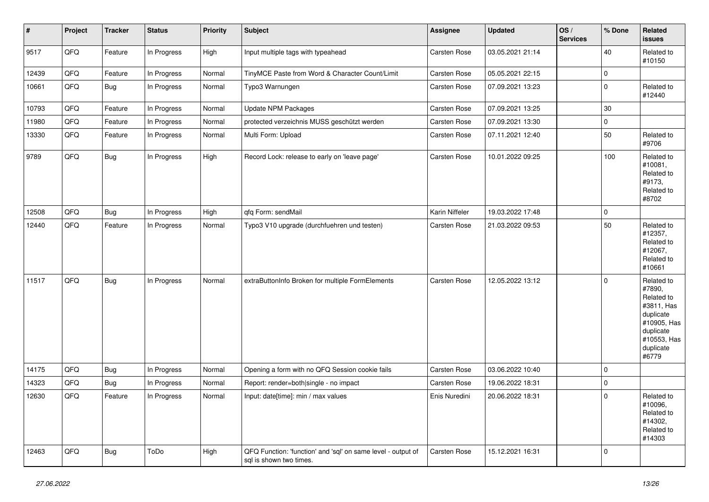| $\vert$ # | Project | <b>Tracker</b> | <b>Status</b> | <b>Priority</b> | <b>Subject</b>                                                                          | Assignee            | <b>Updated</b>   | OS/<br><b>Services</b> | % Done      | Related<br><b>issues</b>                                                                                                       |
|-----------|---------|----------------|---------------|-----------------|-----------------------------------------------------------------------------------------|---------------------|------------------|------------------------|-------------|--------------------------------------------------------------------------------------------------------------------------------|
| 9517      | QFQ     | Feature        | In Progress   | High            | Input multiple tags with typeahead                                                      | Carsten Rose        | 03.05.2021 21:14 |                        | 40          | Related to<br>#10150                                                                                                           |
| 12439     | QFQ     | Feature        | In Progress   | Normal          | TinyMCE Paste from Word & Character Count/Limit                                         | Carsten Rose        | 05.05.2021 22:15 |                        | $\pmb{0}$   |                                                                                                                                |
| 10661     | QFQ     | Bug            | In Progress   | Normal          | Typo3 Warnungen                                                                         | <b>Carsten Rose</b> | 07.09.2021 13:23 |                        | $\pmb{0}$   | Related to<br>#12440                                                                                                           |
| 10793     | QFQ     | Feature        | In Progress   | Normal          | <b>Update NPM Packages</b>                                                              | Carsten Rose        | 07.09.2021 13:25 |                        | 30          |                                                                                                                                |
| 11980     | QFQ     | Feature        | In Progress   | Normal          | protected verzeichnis MUSS geschützt werden                                             | <b>Carsten Rose</b> | 07.09.2021 13:30 |                        | $\mathbf 0$ |                                                                                                                                |
| 13330     | QFQ     | Feature        | In Progress   | Normal          | Multi Form: Upload                                                                      | <b>Carsten Rose</b> | 07.11.2021 12:40 |                        | 50          | Related to<br>#9706                                                                                                            |
| 9789      | QFQ     | Bug            | In Progress   | High            | Record Lock: release to early on 'leave page'                                           | Carsten Rose        | 10.01.2022 09:25 |                        | 100         | Related to<br>#10081,<br>Related to<br>#9173.<br>Related to<br>#8702                                                           |
| 12508     | QFQ     | Bug            | In Progress   | High            | qfq Form: sendMail                                                                      | Karin Niffeler      | 19.03.2022 17:48 |                        | $\pmb{0}$   |                                                                                                                                |
| 12440     | QFQ     | Feature        | In Progress   | Normal          | Typo3 V10 upgrade (durchfuehren und testen)                                             | Carsten Rose        | 21.03.2022 09:53 |                        | 50          | Related to<br>#12357,<br>Related to<br>#12067,<br>Related to<br>#10661                                                         |
| 11517     | QFQ     | <b>Bug</b>     | In Progress   | Normal          | extraButtonInfo Broken for multiple FormElements                                        | Carsten Rose        | 12.05.2022 13:12 |                        | $\mathbf 0$ | Related to<br>#7890,<br>Related to<br>#3811, Has<br>duplicate<br>#10905, Has<br>duplicate<br>#10553, Has<br>duplicate<br>#6779 |
| 14175     | QFQ     | <b>Bug</b>     | In Progress   | Normal          | Opening a form with no QFQ Session cookie fails                                         | Carsten Rose        | 03.06.2022 10:40 |                        | $\mathbf 0$ |                                                                                                                                |
| 14323     | QFQ     | Bug            | In Progress   | Normal          | Report: render=both single - no impact                                                  | Carsten Rose        | 19.06.2022 18:31 |                        | $\pmb{0}$   |                                                                                                                                |
| 12630     | QFQ     | Feature        | In Progress   | Normal          | Input: date[time]: min / max values                                                     | Enis Nuredini       | 20.06.2022 18:31 |                        | $\mathbf 0$ | Related to<br>#10096,<br>Related to<br>#14302,<br>Related to<br>#14303                                                         |
| 12463     | QFQ     | Bug            | ToDo          | High            | QFQ Function: 'function' and 'sql' on same level - output of<br>sql is shown two times. | Carsten Rose        | 15.12.2021 16:31 |                        | $\mathbf 0$ |                                                                                                                                |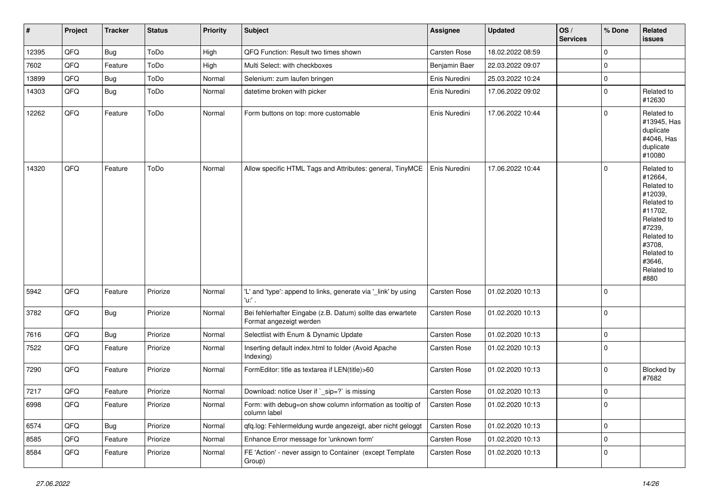| $\vert$ # | Project | <b>Tracker</b> | <b>Status</b> | <b>Priority</b> | <b>Subject</b>                                                                        | Assignee      | <b>Updated</b>   | OS/<br><b>Services</b> | % Done      | Related<br>issues                                                                                                                                                     |
|-----------|---------|----------------|---------------|-----------------|---------------------------------------------------------------------------------------|---------------|------------------|------------------------|-------------|-----------------------------------------------------------------------------------------------------------------------------------------------------------------------|
| 12395     | QFQ     | Bug            | ToDo          | High            | QFQ Function: Result two times shown                                                  | Carsten Rose  | 18.02.2022 08:59 |                        | $\mathbf 0$ |                                                                                                                                                                       |
| 7602      | QFQ     | Feature        | ToDo          | High            | Multi Select: with checkboxes                                                         | Benjamin Baer | 22.03.2022 09:07 |                        | $\mathbf 0$ |                                                                                                                                                                       |
| 13899     | QFQ     | <b>Bug</b>     | ToDo          | Normal          | Selenium: zum laufen bringen                                                          | Enis Nuredini | 25.03.2022 10:24 |                        | $\mathbf 0$ |                                                                                                                                                                       |
| 14303     | QFQ     | <b>Bug</b>     | ToDo          | Normal          | datetime broken with picker                                                           | Enis Nuredini | 17.06.2022 09:02 |                        | $\mathbf 0$ | Related to<br>#12630                                                                                                                                                  |
| 12262     | QFQ     | Feature        | ToDo          | Normal          | Form buttons on top: more customable                                                  | Enis Nuredini | 17.06.2022 10:44 |                        | $\Omega$    | Related to<br>#13945, Has<br>duplicate<br>#4046, Has<br>duplicate<br>#10080                                                                                           |
| 14320     | QFQ     | Feature        | ToDo          | Normal          | Allow specific HTML Tags and Attributes: general, TinyMCE                             | Enis Nuredini | 17.06.2022 10:44 |                        | $\mathbf 0$ | Related to<br>#12664,<br>Related to<br>#12039,<br>Related to<br>#11702,<br>Related to<br>#7239,<br>Related to<br>#3708,<br>Related to<br>#3646,<br>Related to<br>#880 |
| 5942      | QFQ     | Feature        | Priorize      | Normal          | 'L' and 'type': append to links, generate via '_link' by using<br>'u:' .              | Carsten Rose  | 01.02.2020 10:13 |                        | $\mathbf 0$ |                                                                                                                                                                       |
| 3782      | QFQ     | Bug            | Priorize      | Normal          | Bei fehlerhafter Eingabe (z.B. Datum) sollte das erwartete<br>Format angezeigt werden | Carsten Rose  | 01.02.2020 10:13 |                        | $\mathbf 0$ |                                                                                                                                                                       |
| 7616      | QFQ     | <b>Bug</b>     | Priorize      | Normal          | Selectlist with Enum & Dynamic Update                                                 | Carsten Rose  | 01.02.2020 10:13 |                        | $\mathbf 0$ |                                                                                                                                                                       |
| 7522      | QFQ     | Feature        | Priorize      | Normal          | Inserting default index.html to folder (Avoid Apache<br>Indexing)                     | Carsten Rose  | 01.02.2020 10:13 |                        | $\mathbf 0$ |                                                                                                                                                                       |
| 7290      | QFQ     | Feature        | Priorize      | Normal          | FormEditor: title as textarea if LEN(title)>60                                        | Carsten Rose  | 01.02.2020 10:13 |                        | $\Omega$    | Blocked by<br>#7682                                                                                                                                                   |
| 7217      | QFQ     | Feature        | Priorize      | Normal          | Download: notice User if `_sip=?` is missing                                          | Carsten Rose  | 01.02.2020 10:13 |                        | $\mathbf 0$ |                                                                                                                                                                       |
| 6998      | QFQ     | Feature        | Priorize      | Normal          | Form: with debug=on show column information as tooltip of<br>column label             | Carsten Rose  | 01.02.2020 10:13 |                        | 0           |                                                                                                                                                                       |
| 6574      | QFQ     | Bug            | Priorize      | Normal          | qfq.log: Fehlermeldung wurde angezeigt, aber nicht geloggt                            | Carsten Rose  | 01.02.2020 10:13 |                        | $\mathbf 0$ |                                                                                                                                                                       |
| 8585      | QFQ     | Feature        | Priorize      | Normal          | Enhance Error message for 'unknown form'                                              | Carsten Rose  | 01.02.2020 10:13 |                        | 0           |                                                                                                                                                                       |
| 8584      | QFQ     | Feature        | Priorize      | Normal          | FE 'Action' - never assign to Container (except Template<br>Group)                    | Carsten Rose  | 01.02.2020 10:13 |                        | $\mathbf 0$ |                                                                                                                                                                       |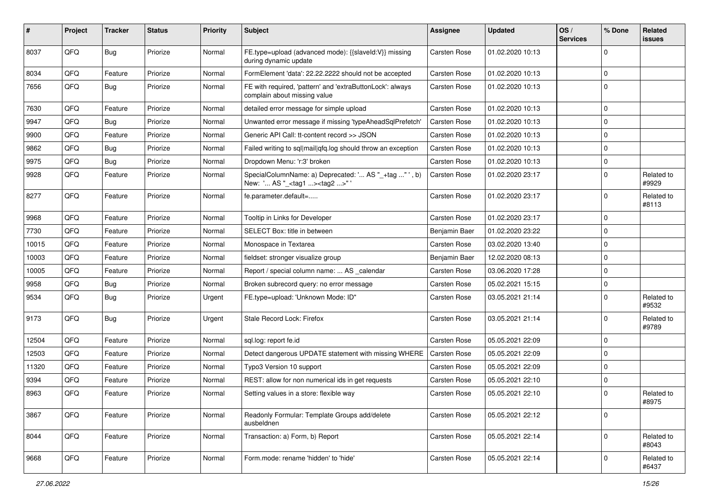| #     | Project | <b>Tracker</b> | <b>Status</b> | <b>Priority</b> | Subject                                                                                            | <b>Assignee</b>     | <b>Updated</b>   | OS/<br><b>Services</b> | % Done      | Related<br><b>issues</b> |
|-------|---------|----------------|---------------|-----------------|----------------------------------------------------------------------------------------------------|---------------------|------------------|------------------------|-------------|--------------------------|
| 8037  | QFQ     | Bug            | Priorize      | Normal          | FE.type=upload (advanced mode): {{slaveId:V}} missing<br>during dynamic update                     | <b>Carsten Rose</b> | 01.02.2020 10:13 |                        | $\Omega$    |                          |
| 8034  | QFQ     | Feature        | Priorize      | Normal          | FormElement 'data': 22.22.2222 should not be accepted                                              | <b>Carsten Rose</b> | 01.02.2020 10:13 |                        | $\mathbf 0$ |                          |
| 7656  | QFQ     | <b>Bug</b>     | Priorize      | Normal          | FE with required, 'pattern' and 'extraButtonLock': always<br>complain about missing value          | <b>Carsten Rose</b> | 01.02.2020 10:13 |                        | $\mathbf 0$ |                          |
| 7630  | QFQ     | Feature        | Priorize      | Normal          | detailed error message for simple upload                                                           | Carsten Rose        | 01.02.2020 10:13 |                        | l 0         |                          |
| 9947  | QFQ     | Bug            | Priorize      | Normal          | Unwanted error message if missing 'typeAheadSqlPrefetch'                                           | <b>Carsten Rose</b> | 01.02.2020 10:13 |                        | $\mathbf 0$ |                          |
| 9900  | QFQ     | Feature        | Priorize      | Normal          | Generic API Call: tt-content record >> JSON                                                        | <b>Carsten Rose</b> | 01.02.2020 10:13 |                        | $\mathbf 0$ |                          |
| 9862  | QFQ     | Bug            | Priorize      | Normal          | Failed writing to sql mail qfq.log should throw an exception                                       | <b>Carsten Rose</b> | 01.02.2020 10:13 |                        | $\mathbf 0$ |                          |
| 9975  | QFQ     | <b>Bug</b>     | Priorize      | Normal          | Dropdown Menu: 'r:3' broken                                                                        | <b>Carsten Rose</b> | 01.02.2020 10:13 |                        | $\mathbf 0$ |                          |
| 9928  | QFQ     | Feature        | Priorize      | Normal          | SpecialColumnName: a) Deprecated: ' AS "_+tag " ', b)<br>New: ' AS "_ <tag1><tag2>"'</tag2></tag1> | <b>Carsten Rose</b> | 01.02.2020 23:17 |                        | $\mathbf 0$ | Related to<br>#9929      |
| 8277  | QFQ     | Feature        | Priorize      | Normal          | fe.parameter.default=                                                                              | <b>Carsten Rose</b> | 01.02.2020 23:17 |                        | $\Omega$    | Related to<br>#8113      |
| 9968  | QFQ     | Feature        | Priorize      | Normal          | Tooltip in Links for Developer                                                                     | <b>Carsten Rose</b> | 01.02.2020 23:17 |                        | $\mathbf 0$ |                          |
| 7730  | QFQ     | Feature        | Priorize      | Normal          | SELECT Box: title in between                                                                       | Benjamin Baer       | 01.02.2020 23:22 |                        | $\mathbf 0$ |                          |
| 10015 | QFQ     | Feature        | Priorize      | Normal          | Monospace in Textarea                                                                              | <b>Carsten Rose</b> | 03.02.2020 13:40 |                        | $\mathbf 0$ |                          |
| 10003 | QFQ     | Feature        | Priorize      | Normal          | fieldset: stronger visualize group                                                                 | Benjamin Baer       | 12.02.2020 08:13 |                        | $\mathbf 0$ |                          |
| 10005 | QFQ     | Feature        | Priorize      | Normal          | Report / special column name:  AS _calendar                                                        | Carsten Rose        | 03.06.2020 17:28 |                        | $\Omega$    |                          |
| 9958  | QFQ     | <b>Bug</b>     | Priorize      | Normal          | Broken subrecord query: no error message                                                           | Carsten Rose        | 05.02.2021 15:15 |                        | $\Omega$    |                          |
| 9534  | QFQ     | <b>Bug</b>     | Priorize      | Urgent          | FE.type=upload: 'Unknown Mode: ID"                                                                 | <b>Carsten Rose</b> | 03.05.2021 21:14 |                        | $\Omega$    | Related to<br>#9532      |
| 9173  | QFQ     | Bug            | Priorize      | Urgent          | Stale Record Lock: Firefox                                                                         | <b>Carsten Rose</b> | 03.05.2021 21:14 |                        | $\mathbf 0$ | Related to<br>#9789      |
| 12504 | QFQ     | Feature        | Priorize      | Normal          | sql.log: report fe.id                                                                              | <b>Carsten Rose</b> | 05.05.2021 22:09 |                        | l 0         |                          |
| 12503 | QFQ     | Feature        | Priorize      | Normal          | Detect dangerous UPDATE statement with missing WHERE                                               | <b>Carsten Rose</b> | 05.05.2021 22:09 |                        | $\mathbf 0$ |                          |
| 11320 | QFQ     | Feature        | Priorize      | Normal          | Typo3 Version 10 support                                                                           | <b>Carsten Rose</b> | 05.05.2021 22:09 |                        | $\mathbf 0$ |                          |
| 9394  | QFQ     | Feature        | Priorize      | Normal          | REST: allow for non numerical ids in get requests                                                  | Carsten Rose        | 05.05.2021 22:10 |                        | $\Omega$    |                          |
| 8963  | QFQ     | Feature        | Priorize      | Normal          | Setting values in a store: flexible way                                                            | <b>Carsten Rose</b> | 05.05.2021 22:10 |                        | $\Omega$    | Related to<br>#8975      |
| 3867  | QFQ     | Feature        | Priorize      | Normal          | Readonly Formular: Template Groups add/delete<br>ausbeldnen                                        | Carsten Rose        | 05.05.2021 22:12 |                        | l 0         |                          |
| 8044  | QFQ     | Feature        | Priorize      | Normal          | Transaction: a) Form, b) Report                                                                    | Carsten Rose        | 05.05.2021 22:14 |                        | $\mathbf 0$ | Related to<br>#8043      |
| 9668  | QFQ     | Feature        | Priorize      | Normal          | Form.mode: rename 'hidden' to 'hide'                                                               | Carsten Rose        | 05.05.2021 22:14 |                        | $\Omega$    | Related to<br>#6437      |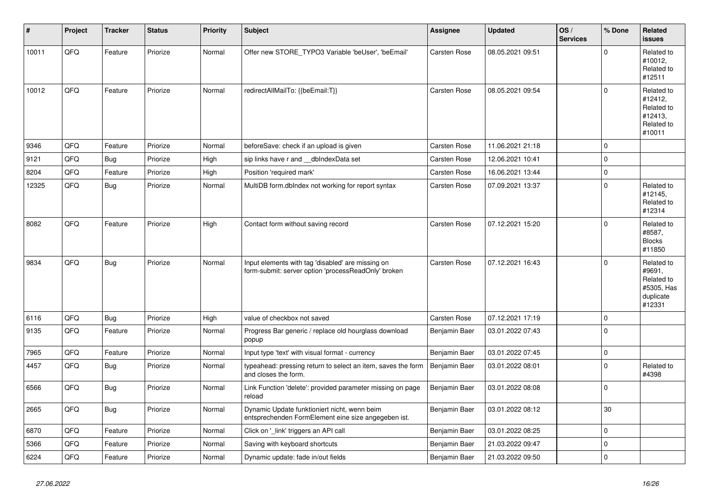| ∦     | Project | <b>Tracker</b> | <b>Status</b> | Priority | <b>Subject</b>                                                                                           | Assignee            | <b>Updated</b>   | OS/<br><b>Services</b> | % Done              | Related<br><b>issues</b>                                                |
|-------|---------|----------------|---------------|----------|----------------------------------------------------------------------------------------------------------|---------------------|------------------|------------------------|---------------------|-------------------------------------------------------------------------|
| 10011 | QFQ     | Feature        | Priorize      | Normal   | Offer new STORE_TYPO3 Variable 'beUser', 'beEmail'                                                       | <b>Carsten Rose</b> | 08.05.2021 09:51 |                        | $\Omega$            | Related to<br>#10012,<br>Related to<br>#12511                           |
| 10012 | QFQ     | Feature        | Priorize      | Normal   | redirectAllMailTo: {{beEmail:T}}                                                                         | Carsten Rose        | 08.05.2021 09:54 |                        | $\mathbf 0$         | Related to<br>#12412,<br>Related to<br>#12413,<br>Related to<br>#10011  |
| 9346  | QFQ     | Feature        | Priorize      | Normal   | beforeSave: check if an upload is given                                                                  | <b>Carsten Rose</b> | 11.06.2021 21:18 |                        | $\mathbf 0$         |                                                                         |
| 9121  | QFQ     | Bug            | Priorize      | High     | sip links have r and __dbIndexData set                                                                   | <b>Carsten Rose</b> | 12.06.2021 10:41 |                        | $\pmb{0}$           |                                                                         |
| 8204  | QFQ     | Feature        | Priorize      | High     | Position 'required mark'                                                                                 | <b>Carsten Rose</b> | 16.06.2021 13:44 |                        | $\pmb{0}$           |                                                                         |
| 12325 | QFQ     | <b>Bug</b>     | Priorize      | Normal   | MultiDB form.dbIndex not working for report syntax                                                       | <b>Carsten Rose</b> | 07.09.2021 13:37 |                        | $\mathbf 0$         | Related to<br>#12145,<br>Related to<br>#12314                           |
| 8082  | QFQ     | Feature        | Priorize      | High     | Contact form without saving record                                                                       | <b>Carsten Rose</b> | 07.12.2021 15:20 |                        | $\Omega$            | Related to<br>#8587,<br><b>Blocks</b><br>#11850                         |
| 9834  | QFQ     | Bug            | Priorize      | Normal   | Input elements with tag 'disabled' are missing on<br>form-submit: server option 'processReadOnly' broken | <b>Carsten Rose</b> | 07.12.2021 16:43 |                        | $\Omega$            | Related to<br>#9691,<br>Related to<br>#5305, Has<br>duplicate<br>#12331 |
| 6116  | QFQ     | Bug            | Priorize      | High     | value of checkbox not saved                                                                              | <b>Carsten Rose</b> | 07.12.2021 17:19 |                        | $\mathbf 0$         |                                                                         |
| 9135  | QFQ     | Feature        | Priorize      | Normal   | Progress Bar generic / replace old hourglass download<br>popup                                           | Benjamin Baer       | 03.01.2022 07:43 |                        | $\mathbf 0$         |                                                                         |
| 7965  | QFQ     | Feature        | Priorize      | Normal   | Input type 'text' with visual format - currency                                                          | Benjamin Baer       | 03.01.2022 07:45 |                        | $\mathbf 0$         |                                                                         |
| 4457  | QFQ     | <b>Bug</b>     | Priorize      | Normal   | typeahead: pressing return to select an item, saves the form<br>and closes the form.                     | Benjamin Baer       | 03.01.2022 08:01 |                        | $\Omega$            | Related to<br>#4398                                                     |
| 6566  | QFQ     | <b>Bug</b>     | Priorize      | Normal   | Link Function 'delete': provided parameter missing on page<br>reload                                     | Benjamin Baer       | 03.01.2022 08:08 |                        | $\mathsf{O}\xspace$ |                                                                         |
| 2665  | QFQ     | <b>Bug</b>     | Priorize      | Normal   | Dynamic Update funktioniert nicht, wenn beim<br>entsprechenden FormElement eine size angegeben ist.      | Benjamin Baer       | 03.01.2022 08:12 |                        | 30                  |                                                                         |
| 6870  | QFQ     | Feature        | Priorize      | Normal   | Click on '_link' triggers an API call                                                                    | Benjamin Baer       | 03.01.2022 08:25 |                        | $\mathbf 0$         |                                                                         |
| 5366  | QFQ     | Feature        | Priorize      | Normal   | Saving with keyboard shortcuts                                                                           | Benjamin Baer       | 21.03.2022 09:47 |                        | $\mathsf{O}\xspace$ |                                                                         |
| 6224  | QFQ     | Feature        | Priorize      | Normal   | Dynamic update: fade in/out fields                                                                       | Benjamin Baer       | 21.03.2022 09:50 |                        | $\pmb{0}$           |                                                                         |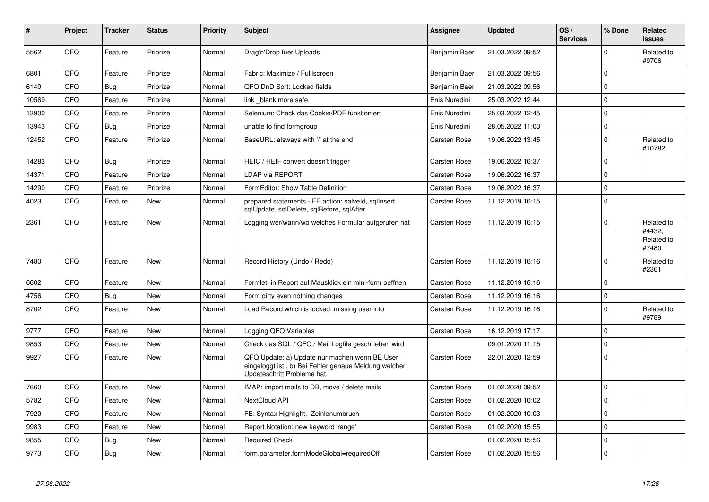| #     | <b>Project</b> | <b>Tracker</b> | <b>Status</b> | <b>Priority</b> | <b>Subject</b>                                                                                                                        | <b>Assignee</b>     | <b>Updated</b>   | OS/<br><b>Services</b> | % Done      | Related<br><b>issues</b>                    |
|-------|----------------|----------------|---------------|-----------------|---------------------------------------------------------------------------------------------------------------------------------------|---------------------|------------------|------------------------|-------------|---------------------------------------------|
| 5562  | QFQ            | Feature        | Priorize      | Normal          | Drag'n'Drop fuer Uploads                                                                                                              | Benjamin Baer       | 21.03.2022 09:52 |                        | $\Omega$    | Related to<br>#9706                         |
| 6801  | QFQ            | Feature        | Priorize      | Normal          | Fabric: Maximize / FullIscreen                                                                                                        | Benjamin Baer       | 21.03.2022 09:56 |                        | $\Omega$    |                                             |
| 6140  | QFQ            | <b>Bug</b>     | Priorize      | Normal          | QFQ DnD Sort: Locked fields                                                                                                           | Benjamin Baer       | 21.03.2022 09:56 |                        | $\mathbf 0$ |                                             |
| 10569 | QFQ            | Feature        | Priorize      | Normal          | link blank more safe                                                                                                                  | Enis Nuredini       | 25.03.2022 12:44 |                        | $\Omega$    |                                             |
| 13900 | QFQ            | Feature        | Priorize      | Normal          | Selenium: Check das Cookie/PDF funktioniert                                                                                           | Enis Nuredini       | 25.03.2022 12:45 |                        | l O         |                                             |
| 13943 | QFQ            | <b>Bug</b>     | Priorize      | Normal          | unable to find formgroup                                                                                                              | Enis Nuredini       | 28.05.2022 11:03 |                        | $\Omega$    |                                             |
| 12452 | QFQ            | Feature        | Priorize      | Normal          | BaseURL: alsways with '/' at the end                                                                                                  | <b>Carsten Rose</b> | 19.06.2022 13:45 |                        | l o         | Related to<br>#10782                        |
| 14283 | QFQ            | Bug            | Priorize      | Normal          | HEIC / HEIF convert doesn't trigger                                                                                                   | <b>Carsten Rose</b> | 19.06.2022 16:37 |                        | $\Omega$    |                                             |
| 14371 | QFQ            | Feature        | Priorize      | Normal          | LDAP via REPORT                                                                                                                       | Carsten Rose        | 19.06.2022 16:37 |                        | I٥          |                                             |
| 14290 | QFQ            | Feature        | Priorize      | Normal          | FormEditor: Show Table Definition                                                                                                     | <b>Carsten Rose</b> | 19.06.2022 16:37 |                        | $\Omega$    |                                             |
| 4023  | QFQ            | Feature        | New           | Normal          | prepared statements - FE action: salveld, sqllnsert,<br>sqlUpdate, sqlDelete, sqlBefore, sqlAfter                                     | Carsten Rose        | 11.12.2019 16:15 |                        | $\mathbf 0$ |                                             |
| 2361  | QFQ            | Feature        | <b>New</b>    | Normal          | Logging wer/wann/wo welches Formular aufgerufen hat                                                                                   | <b>Carsten Rose</b> | 11.12.2019 16:15 |                        | $\Omega$    | Related to<br>#4432.<br>Related to<br>#7480 |
| 7480  | QFQ            | Feature        | New           | Normal          | Record History (Undo / Redo)                                                                                                          | <b>Carsten Rose</b> | 11.12.2019 16:16 |                        | $\Omega$    | Related to<br>#2361                         |
| 6602  | QFQ            | Feature        | <b>New</b>    | Normal          | Formlet: in Report auf Mausklick ein mini-form oeffnen                                                                                | <b>Carsten Rose</b> | 11.12.2019 16:16 |                        | $\mathbf 0$ |                                             |
| 4756  | QFQ            | <b>Bug</b>     | New           | Normal          | Form dirty even nothing changes                                                                                                       | Carsten Rose        | 11.12.2019 16:16 |                        | $\Omega$    |                                             |
| 8702  | QFQ            | Feature        | New           | Normal          | Load Record which is locked: missing user info                                                                                        | <b>Carsten Rose</b> | 11.12.2019 16:16 |                        | $\Omega$    | Related to<br>#9789                         |
| 9777  | QFQ            | Feature        | <b>New</b>    | Normal          | Logging QFQ Variables                                                                                                                 | <b>Carsten Rose</b> | 16.12.2019 17:17 |                        | $\Omega$    |                                             |
| 9853  | QFQ            | Feature        | New           | Normal          | Check das SQL / QFQ / Mail Logfile geschrieben wird                                                                                   |                     | 09.01.2020 11:15 |                        | $\mathbf 0$ |                                             |
| 9927  | QFQ            | Feature        | New           | Normal          | QFQ Update: a) Update nur machen wenn BE User<br>eingeloggt ist., b) Bei Fehler genaue Meldung welcher<br>Updateschritt Probleme hat. | <b>Carsten Rose</b> | 22.01.2020 12:59 |                        | ١o          |                                             |
| 7660  | QFQ            | Feature        | <b>New</b>    | Normal          | IMAP: import mails to DB, move / delete mails                                                                                         | <b>Carsten Rose</b> | 01.02.2020 09:52 |                        | l o         |                                             |
| 5782  | QFQ            | Feature        | New           | Normal          | NextCloud API                                                                                                                         | <b>Carsten Rose</b> | 01.02.2020 10:02 |                        | $\Omega$    |                                             |
| 7920  | QFQ            | Feature        | <b>New</b>    | Normal          | FE: Syntax Highlight, Zeinlenumbruch                                                                                                  | <b>Carsten Rose</b> | 01.02.2020 10:03 |                        | $\mathbf 0$ |                                             |
| 9983  | QFQ            | Feature        | New           | Normal          | Report Notation: new keyword 'range'                                                                                                  | Carsten Rose        | 01.02.2020 15:55 |                        | $\mathbf 0$ |                                             |
| 9855  | QFQ            | <b>Bug</b>     | New           | Normal          | <b>Required Check</b>                                                                                                                 |                     | 01.02.2020 15:56 |                        | $\mathbf 0$ |                                             |
| 9773  | QFQ            | Bug            | New           | Normal          | form.parameter.formModeGlobal=requiredOff                                                                                             | <b>Carsten Rose</b> | 01.02.2020 15:56 |                        | l O         |                                             |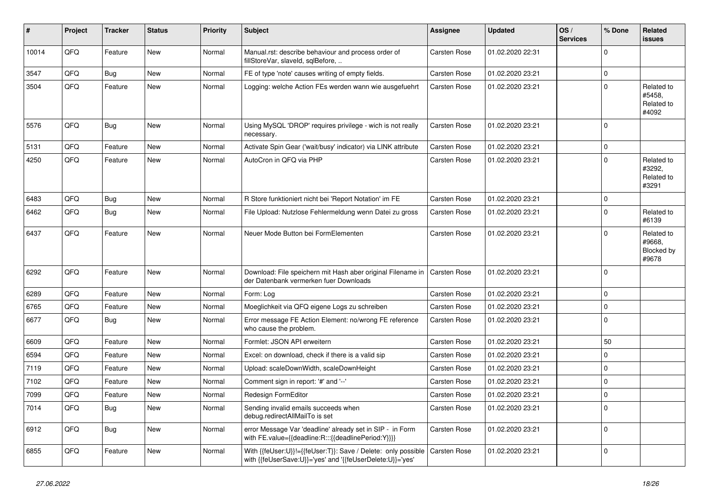| ∦     | Project | <b>Tracker</b> | <b>Status</b> | <b>Priority</b> | <b>Subject</b>                                                                                                             | <b>Assignee</b>     | <b>Updated</b>   | OS/<br><b>Services</b> | % Done      | Related<br><b>issues</b>                    |
|-------|---------|----------------|---------------|-----------------|----------------------------------------------------------------------------------------------------------------------------|---------------------|------------------|------------------------|-------------|---------------------------------------------|
| 10014 | QFQ     | Feature        | New           | Normal          | Manual.rst: describe behaviour and process order of<br>fillStoreVar, slaveId, sqlBefore,                                   | <b>Carsten Rose</b> | 01.02.2020 22:31 |                        | $\Omega$    |                                             |
| 3547  | QFQ     | <b>Bug</b>     | New           | Normal          | FE of type 'note' causes writing of empty fields.                                                                          | Carsten Rose        | 01.02.2020 23:21 |                        | $\mathbf 0$ |                                             |
| 3504  | QFQ     | Feature        | New           | Normal          | Logging: welche Action FEs werden wann wie ausgefuehrt                                                                     | <b>Carsten Rose</b> | 01.02.2020 23:21 |                        | $\Omega$    | Related to<br>#5458,<br>Related to<br>#4092 |
| 5576  | QFQ     | Bug            | New           | Normal          | Using MySQL 'DROP' requires privilege - wich is not really<br>necessary.                                                   | <b>Carsten Rose</b> | 01.02.2020 23:21 |                        | $\Omega$    |                                             |
| 5131  | QFQ     | Feature        | New           | Normal          | Activate Spin Gear ('wait/busy' indicator) via LINK attribute                                                              | <b>Carsten Rose</b> | 01.02.2020 23:21 |                        | $\mathbf 0$ |                                             |
| 4250  | QFQ     | Feature        | <b>New</b>    | Normal          | AutoCron in QFQ via PHP                                                                                                    | <b>Carsten Rose</b> | 01.02.2020 23:21 |                        | $\Omega$    | Related to<br>#3292,<br>Related to<br>#3291 |
| 6483  | QFQ     | Bug            | <b>New</b>    | Normal          | R Store funktioniert nicht bei 'Report Notation' im FE                                                                     | <b>Carsten Rose</b> | 01.02.2020 23:21 |                        | $\mathbf 0$ |                                             |
| 6462  | QFQ     | <b>Bug</b>     | <b>New</b>    | Normal          | File Upload: Nutzlose Fehlermeldung wenn Datei zu gross                                                                    | <b>Carsten Rose</b> | 01.02.2020 23:21 |                        | $\Omega$    | Related to<br>#6139                         |
| 6437  | QFQ     | Feature        | New           | Normal          | Neuer Mode Button bei FormElementen                                                                                        | <b>Carsten Rose</b> | 01.02.2020 23:21 |                        | $\mathbf 0$ | Related to<br>#9668,<br>Blocked by<br>#9678 |
| 6292  | QFQ     | Feature        | <b>New</b>    | Normal          | Download: File speichern mit Hash aber original Filename in<br>der Datenbank vermerken fuer Downloads                      | <b>Carsten Rose</b> | 01.02.2020 23:21 |                        | $\Omega$    |                                             |
| 6289  | QFQ     | Feature        | New           | Normal          | Form: Log                                                                                                                  | <b>Carsten Rose</b> | 01.02.2020 23:21 |                        | $\mathbf 0$ |                                             |
| 6765  | QFQ     | Feature        | New           | Normal          | Moeglichkeit via QFQ eigene Logs zu schreiben                                                                              | <b>Carsten Rose</b> | 01.02.2020 23:21 |                        | $\mathbf 0$ |                                             |
| 6677  | QFQ     | <b>Bug</b>     | New           | Normal          | Error message FE Action Element: no/wrong FE reference<br>who cause the problem.                                           | <b>Carsten Rose</b> | 01.02.2020 23:21 |                        | $\Omega$    |                                             |
| 6609  | QFQ     | Feature        | New           | Normal          | Formlet: JSON API erweitern                                                                                                | <b>Carsten Rose</b> | 01.02.2020 23:21 |                        | 50          |                                             |
| 6594  | QFQ     | Feature        | New           | Normal          | Excel: on download, check if there is a valid sip                                                                          | <b>Carsten Rose</b> | 01.02.2020 23:21 |                        | $\Omega$    |                                             |
| 7119  | QFQ     | Feature        | New           | Normal          | Upload: scaleDownWidth, scaleDownHeight                                                                                    | <b>Carsten Rose</b> | 01.02.2020 23:21 |                        | $\mathbf 0$ |                                             |
| 7102  | QFQ     | Feature        | New           | Normal          | Comment sign in report: '#' and '--'                                                                                       | <b>Carsten Rose</b> | 01.02.2020 23:21 |                        | $\mathbf 0$ |                                             |
| 7099  | QFQ     | Feature        | New           | Normal          | Redesign FormEditor                                                                                                        | <b>Carsten Rose</b> | 01.02.2020 23:21 |                        | $\mathbf 0$ |                                             |
| 7014  | QFQ     | <b>Bug</b>     | New           | Normal          | Sending invalid emails succeeds when<br>debug.redirectAllMailTo is set                                                     | <b>Carsten Rose</b> | 01.02.2020 23:21 |                        | $\Omega$    |                                             |
| 6912  | QFQ     | <b>Bug</b>     | New           | Normal          | error Message Var 'deadline' already set in SIP - in Form<br>with FE.value={{deadline:R:::{{deadlinePeriod:Y}}}}           | Carsten Rose        | 01.02.2020 23:21 |                        | $\Omega$    |                                             |
| 6855  | QFQ     | Feature        | <b>New</b>    | Normal          | With {{feUser:U}}!={{feUser:T}}: Save / Delete: only possible<br>with {{feUserSave:U}}='yes' and '{{feUserDelete:U}}='yes' | <b>Carsten Rose</b> | 01.02.2020 23:21 |                        | $\mathbf 0$ |                                             |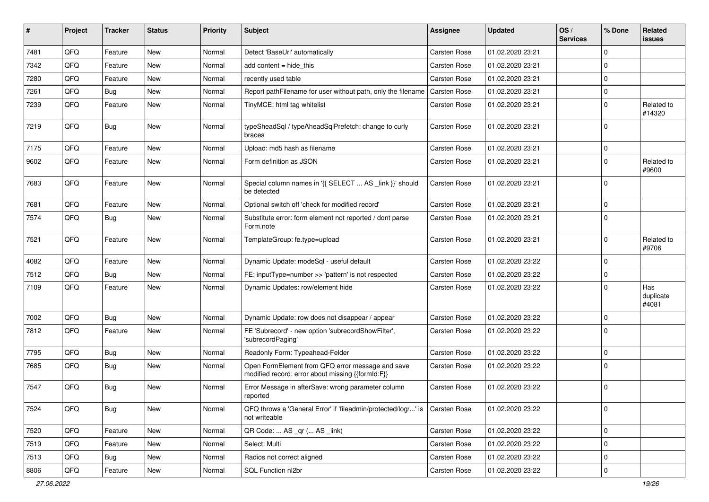| #    | Project | <b>Tracker</b> | <b>Status</b> | <b>Priority</b> | <b>Subject</b>                                                                                        | <b>Assignee</b>     | <b>Updated</b>   | OS/<br><b>Services</b> | % Done      | Related<br><b>issues</b>  |
|------|---------|----------------|---------------|-----------------|-------------------------------------------------------------------------------------------------------|---------------------|------------------|------------------------|-------------|---------------------------|
| 7481 | QFQ     | Feature        | New           | Normal          | Detect 'BaseUrl' automatically                                                                        | Carsten Rose        | 01.02.2020 23:21 |                        | $\mathbf 0$ |                           |
| 7342 | QFQ     | Feature        | New           | Normal          | add content $=$ hide this                                                                             | <b>Carsten Rose</b> | 01.02.2020 23:21 |                        | $\mathbf 0$ |                           |
| 7280 | QFQ     | Feature        | New           | Normal          | recently used table                                                                                   | <b>Carsten Rose</b> | 01.02.2020 23:21 |                        | $\mathbf 0$ |                           |
| 7261 | QFQ     | Bug            | New           | Normal          | Report pathFilename for user without path, only the filename                                          | Carsten Rose        | 01.02.2020 23:21 |                        | $\mathbf 0$ |                           |
| 7239 | QFQ     | Feature        | New           | Normal          | TinyMCE: html tag whitelist                                                                           | <b>Carsten Rose</b> | 01.02.2020 23:21 |                        | $\mathbf 0$ | Related to<br>#14320      |
| 7219 | QFQ     | <b>Bug</b>     | New           | Normal          | typeSheadSql / typeAheadSqlPrefetch: change to curly<br>braces                                        | <b>Carsten Rose</b> | 01.02.2020 23:21 |                        | $\mathbf 0$ |                           |
| 7175 | QFQ     | Feature        | <b>New</b>    | Normal          | Upload: md5 hash as filename                                                                          | Carsten Rose        | 01.02.2020 23:21 |                        | $\mathbf 0$ |                           |
| 9602 | QFQ     | Feature        | New           | Normal          | Form definition as JSON                                                                               | Carsten Rose        | 01.02.2020 23:21 |                        | $\mathbf 0$ | Related to<br>#9600       |
| 7683 | QFQ     | Feature        | New           | Normal          | Special column names in '{{ SELECT  AS _link }}' should<br>be detected                                | Carsten Rose        | 01.02.2020 23:21 |                        | $\mathbf 0$ |                           |
| 7681 | QFQ     | Feature        | New           | Normal          | Optional switch off 'check for modified record'                                                       | Carsten Rose        | 01.02.2020 23:21 |                        | $\mathbf 0$ |                           |
| 7574 | QFQ     | Bug            | New           | Normal          | Substitute error: form element not reported / dont parse<br>Form.note                                 | <b>Carsten Rose</b> | 01.02.2020 23:21 |                        | $\mathbf 0$ |                           |
| 7521 | QFQ     | Feature        | New           | Normal          | TemplateGroup: fe.type=upload                                                                         | Carsten Rose        | 01.02.2020 23:21 |                        | $\mathbf 0$ | Related to<br>#9706       |
| 4082 | QFQ     | Feature        | New           | Normal          | Dynamic Update: modeSql - useful default                                                              | Carsten Rose        | 01.02.2020 23:22 |                        | $\mathbf 0$ |                           |
| 7512 | QFQ     | Bug            | New           | Normal          | FE: inputType=number >> 'pattern' is not respected                                                    | <b>Carsten Rose</b> | 01.02.2020 23:22 |                        | $\mathbf 0$ |                           |
| 7109 | QFQ     | Feature        | New           | Normal          | Dynamic Updates: row/element hide                                                                     | <b>Carsten Rose</b> | 01.02.2020 23:22 |                        | $\mathbf 0$ | Has<br>duplicate<br>#4081 |
| 7002 | QFQ     | Bug            | <b>New</b>    | Normal          | Dynamic Update: row does not disappear / appear                                                       | Carsten Rose        | 01.02.2020 23:22 |                        | $\mathbf 0$ |                           |
| 7812 | QFQ     | Feature        | New           | Normal          | FE 'Subrecord' - new option 'subrecordShowFilter',<br>'subrecordPaging'                               | <b>Carsten Rose</b> | 01.02.2020 23:22 |                        | $\mathbf 0$ |                           |
| 7795 | QFQ     | <b>Bug</b>     | New           | Normal          | Readonly Form: Typeahead-Felder                                                                       | Carsten Rose        | 01.02.2020 23:22 |                        | $\mathbf 0$ |                           |
| 7685 | QFQ     | Bug            | New           | Normal          | Open FormElement from QFQ error message and save<br>modified record: error about missing {{formId:F}} | Carsten Rose        | 01.02.2020 23:22 |                        | $\mathbf 0$ |                           |
| 7547 | QFQ     | Bug            | New           | Normal          | Error Message in afterSave: wrong parameter column<br>reported                                        | <b>Carsten Rose</b> | 01.02.2020 23:22 |                        | $\mathbf 0$ |                           |
| 7524 | QFQ     | Bug            | New           | Normal          | QFQ throws a 'General Error' if 'fileadmin/protected/log/' is<br>not writeable                        | <b>Carsten Rose</b> | 01.02.2020 23:22 |                        | $\mathbf 0$ |                           |
| 7520 | QFQ     | Feature        | New           | Normal          | QR Code:  AS _qr ( AS _link)                                                                          | Carsten Rose        | 01.02.2020 23:22 |                        | $\mathbf 0$ |                           |
| 7519 | QFQ     | Feature        | New           | Normal          | Select: Multi                                                                                         | <b>Carsten Rose</b> | 01.02.2020 23:22 |                        | $\mathbf 0$ |                           |
| 7513 | QFQ     | <b>Bug</b>     | New           | Normal          | Radios not correct aligned                                                                            | Carsten Rose        | 01.02.2020 23:22 |                        | 0           |                           |
| 8806 | QFG     | Feature        | New           | Normal          | SQL Function nl2br                                                                                    | Carsten Rose        | 01.02.2020 23:22 |                        | $\mathbf 0$ |                           |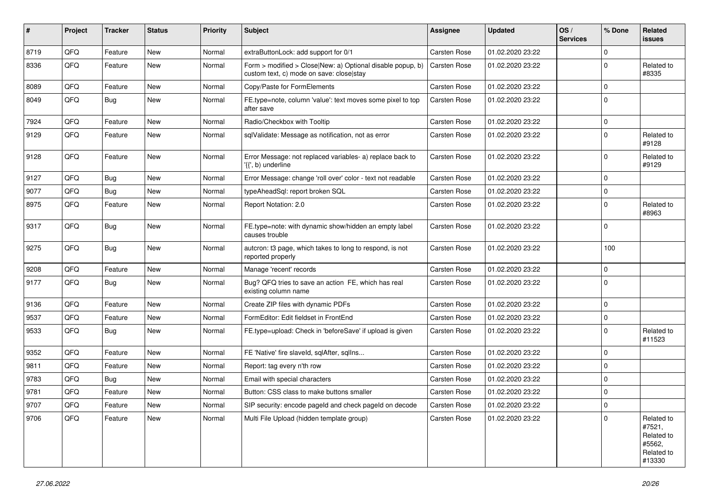| #    | <b>Project</b> | <b>Tracker</b> | <b>Status</b> | <b>Priority</b> | <b>Subject</b>                                                                                         | <b>Assignee</b>     | <b>Updated</b>   | OS/<br><b>Services</b> | % Done      | Related<br><b>issues</b>                                             |
|------|----------------|----------------|---------------|-----------------|--------------------------------------------------------------------------------------------------------|---------------------|------------------|------------------------|-------------|----------------------------------------------------------------------|
| 8719 | QFQ            | Feature        | <b>New</b>    | Normal          | extraButtonLock: add support for 0/1                                                                   | Carsten Rose        | 01.02.2020 23:22 |                        | $\mathbf 0$ |                                                                      |
| 8336 | QFQ            | Feature        | New           | Normal          | Form > modified > Close New: a) Optional disable popup, b)<br>custom text, c) mode on save: close stay | <b>Carsten Rose</b> | 01.02.2020 23:22 |                        | $\mathbf 0$ | Related to<br>#8335                                                  |
| 8089 | QFQ            | Feature        | <b>New</b>    | Normal          | Copy/Paste for FormElements                                                                            | Carsten Rose        | 01.02.2020 23:22 |                        | $\mathbf 0$ |                                                                      |
| 8049 | QFQ            | Bug            | New           | Normal          | FE.type=note, column 'value': text moves some pixel to top<br>after save                               | Carsten Rose        | 01.02.2020 23:22 |                        | $\mathbf 0$ |                                                                      |
| 7924 | QFQ            | Feature        | <b>New</b>    | Normal          | Radio/Checkbox with Tooltip                                                                            | Carsten Rose        | 01.02.2020 23:22 |                        | $\mathbf 0$ |                                                                      |
| 9129 | QFQ            | Feature        | New           | Normal          | sqlValidate: Message as notification, not as error                                                     | <b>Carsten Rose</b> | 01.02.2020 23:22 |                        | $\mathbf 0$ | Related to<br>#9128                                                  |
| 9128 | QFQ            | Feature        | New           | Normal          | Error Message: not replaced variables- a) replace back to<br>'{{', b) underline                        | Carsten Rose        | 01.02.2020 23:22 |                        | $\mathbf 0$ | Related to<br>#9129                                                  |
| 9127 | QFQ            | Bug            | <b>New</b>    | Normal          | Error Message: change 'roll over' color - text not readable                                            | Carsten Rose        | 01.02.2020 23:22 |                        | $\mathbf 0$ |                                                                      |
| 9077 | QFQ            | Bug            | <b>New</b>    | Normal          | typeAheadSql: report broken SQL                                                                        | <b>Carsten Rose</b> | 01.02.2020 23:22 |                        | $\mathbf 0$ |                                                                      |
| 8975 | QFQ            | Feature        | New           | Normal          | Report Notation: 2.0                                                                                   | <b>Carsten Rose</b> | 01.02.2020 23:22 |                        | $\mathbf 0$ | Related to<br>#8963                                                  |
| 9317 | QFQ            | Bug            | New           | Normal          | FE.type=note: with dynamic show/hidden an empty label<br>causes trouble                                | <b>Carsten Rose</b> | 01.02.2020 23:22 |                        | $\mathbf 0$ |                                                                      |
| 9275 | QFQ            | Bug            | New           | Normal          | autcron: t3 page, which takes to long to respond, is not<br>reported properly                          | Carsten Rose        | 01.02.2020 23:22 |                        | 100         |                                                                      |
| 9208 | QFQ            | Feature        | <b>New</b>    | Normal          | Manage 'recent' records                                                                                | Carsten Rose        | 01.02.2020 23:22 |                        | $\mathbf 0$ |                                                                      |
| 9177 | QFQ            | Bug            | New           | Normal          | Bug? QFQ tries to save an action FE, which has real<br>existing column name                            | Carsten Rose        | 01.02.2020 23:22 |                        | $\mathbf 0$ |                                                                      |
| 9136 | QFQ            | Feature        | New           | Normal          | Create ZIP files with dynamic PDFs                                                                     | Carsten Rose        | 01.02.2020 23:22 |                        | $\mathbf 0$ |                                                                      |
| 9537 | QFQ            | Feature        | New           | Normal          | FormEditor: Edit fieldset in FrontEnd                                                                  | Carsten Rose        | 01.02.2020 23:22 |                        | $\mathbf 0$ |                                                                      |
| 9533 | QFQ            | Bug            | New           | Normal          | FE.type=upload: Check in 'beforeSave' if upload is given                                               | Carsten Rose        | 01.02.2020 23:22 |                        | $\mathbf 0$ | Related to<br>#11523                                                 |
| 9352 | QFQ            | Feature        | New           | Normal          | FE 'Native' fire slaveld, sqlAfter, sqlIns                                                             | Carsten Rose        | 01.02.2020 23:22 |                        | $\mathbf 0$ |                                                                      |
| 9811 | QFQ            | Feature        | New           | Normal          | Report: tag every n'th row                                                                             | <b>Carsten Rose</b> | 01.02.2020 23:22 |                        | $\mathbf 0$ |                                                                      |
| 9783 | QFQ            | Bug            | New           | Normal          | Email with special characters                                                                          | Carsten Rose        | 01.02.2020 23:22 |                        | $\mathbf 0$ |                                                                      |
| 9781 | QFQ            | Feature        | New           | Normal          | Button: CSS class to make buttons smaller                                                              | <b>Carsten Rose</b> | 01.02.2020 23:22 |                        | $\mathbf 0$ |                                                                      |
| 9707 | QFQ            | Feature        | New           | Normal          | SIP security: encode pageld and check pageld on decode                                                 | Carsten Rose        | 01.02.2020 23:22 |                        | 0           |                                                                      |
| 9706 | QFQ            | Feature        | New           | Normal          | Multi File Upload (hidden template group)                                                              | Carsten Rose        | 01.02.2020 23:22 |                        | $\mathbf 0$ | Related to<br>#7521,<br>Related to<br>#5562,<br>Related to<br>#13330 |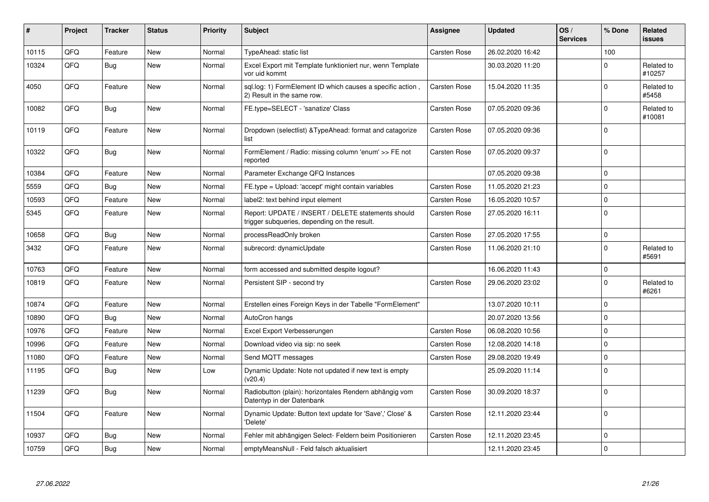| #     | Project | <b>Tracker</b> | <b>Status</b> | <b>Priority</b> | <b>Subject</b>                                                                                     | Assignee            | <b>Updated</b>   | OS/<br><b>Services</b> | % Done              | Related<br><b>issues</b> |
|-------|---------|----------------|---------------|-----------------|----------------------------------------------------------------------------------------------------|---------------------|------------------|------------------------|---------------------|--------------------------|
| 10115 | QFQ     | Feature        | <b>New</b>    | Normal          | <b>TypeAhead: static list</b>                                                                      | <b>Carsten Rose</b> | 26.02.2020 16:42 |                        | 100                 |                          |
| 10324 | QFQ     | Bug            | New           | Normal          | Excel Export mit Template funktioniert nur, wenn Template<br>vor uid kommt                         |                     | 30.03.2020 11:20 |                        | $\mathbf 0$         | Related to<br>#10257     |
| 4050  | QFQ     | Feature        | <b>New</b>    | Normal          | sql.log: 1) FormElement ID which causes a specific action,<br>2) Result in the same row.           | Carsten Rose        | 15.04.2020 11:35 |                        | $\Omega$            | Related to<br>#5458      |
| 10082 | QFQ     | Bug            | <b>New</b>    | Normal          | FE.type=SELECT - 'sanatize' Class                                                                  | <b>Carsten Rose</b> | 07.05.2020 09:36 |                        | $\mathbf 0$         | Related to<br>#10081     |
| 10119 | QFQ     | Feature        | New           | Normal          | Dropdown (selectlist) & Type Ahead: format and catagorize<br>list                                  | Carsten Rose        | 07.05.2020 09:36 |                        | $\mathbf 0$         |                          |
| 10322 | QFQ     | Bug            | <b>New</b>    | Normal          | FormElement / Radio: missing column 'enum' >> FE not<br>reported                                   | <b>Carsten Rose</b> | 07.05.2020 09:37 |                        | $\mathsf 0$         |                          |
| 10384 | QFQ     | Feature        | <b>New</b>    | Normal          | Parameter Exchange QFQ Instances                                                                   |                     | 07.05.2020 09:38 |                        | $\mathbf 0$         |                          |
| 5559  | QFQ     | Bug            | <b>New</b>    | Normal          | FE.type = Upload: 'accept' might contain variables                                                 | <b>Carsten Rose</b> | 11.05.2020 21:23 |                        | $\mathbf 0$         |                          |
| 10593 | QFQ     | Feature        | <b>New</b>    | Normal          | label2: text behind input element                                                                  | Carsten Rose        | 16.05.2020 10:57 |                        | $\mathsf{O}\xspace$ |                          |
| 5345  | QFQ     | Feature        | New           | Normal          | Report: UPDATE / INSERT / DELETE statements should<br>trigger subqueries, depending on the result. | <b>Carsten Rose</b> | 27.05.2020 16:11 |                        | $\mathbf 0$         |                          |
| 10658 | QFQ     | <b>Bug</b>     | <b>New</b>    | Normal          | processReadOnly broken                                                                             | Carsten Rose        | 27.05.2020 17:55 |                        | $\mathsf{O}\xspace$ |                          |
| 3432  | QFQ     | Feature        | <b>New</b>    | Normal          | subrecord: dynamicUpdate                                                                           | <b>Carsten Rose</b> | 11.06.2020 21:10 |                        | $\mathbf 0$         | Related to<br>#5691      |
| 10763 | QFQ     | Feature        | <b>New</b>    | Normal          | form accessed and submitted despite logout?                                                        |                     | 16.06.2020 11:43 |                        | $\mathsf{O}\xspace$ |                          |
| 10819 | QFQ     | Feature        | New           | Normal          | Persistent SIP - second try                                                                        | <b>Carsten Rose</b> | 29.06.2020 23:02 |                        | $\Omega$            | Related to<br>#6261      |
| 10874 | QFQ     | Feature        | <b>New</b>    | Normal          | Erstellen eines Foreign Keys in der Tabelle "FormElement"                                          |                     | 13.07.2020 10:11 |                        | $\mathbf 0$         |                          |
| 10890 | QFQ     | <b>Bug</b>     | <b>New</b>    | Normal          | AutoCron hangs                                                                                     |                     | 20.07.2020 13:56 |                        | $\Omega$            |                          |
| 10976 | QFQ     | Feature        | New           | Normal          | Excel Export Verbesserungen                                                                        | <b>Carsten Rose</b> | 06.08.2020 10:56 |                        | $\mathbf 0$         |                          |
| 10996 | QFQ     | Feature        | New           | Normal          | Download video via sip: no seek                                                                    | <b>Carsten Rose</b> | 12.08.2020 14:18 |                        | $\mathbf 0$         |                          |
| 11080 | QFQ     | Feature        | New           | Normal          | Send MQTT messages                                                                                 | Carsten Rose        | 29.08.2020 19:49 |                        | $\pmb{0}$           |                          |
| 11195 | QFQ     | Bug            | New           | Low             | Dynamic Update: Note not updated if new text is empty<br>(v20.4)                                   |                     | 25.09.2020 11:14 |                        | $\mathbf 0$         |                          |
| 11239 | QFQ     | <b>Bug</b>     | New           | Normal          | Radiobutton (plain): horizontales Rendern abhängig vom<br>Datentyp in der Datenbank                | <b>Carsten Rose</b> | 30.09.2020 18:37 |                        | $\mathbf 0$         |                          |
| 11504 | QFQ     | Feature        | New           | Normal          | Dynamic Update: Button text update for 'Save',' Close' &<br>'Delete'                               | Carsten Rose        | 12.11.2020 23:44 |                        | $\Omega$            |                          |
| 10937 | QFQ     | <b>Bug</b>     | New           | Normal          | Fehler mit abhängigen Select- Feldern beim Positionieren                                           | Carsten Rose        | 12.11.2020 23:45 |                        | $\mathbf 0$         |                          |
| 10759 | QFQ     | Bug            | <b>New</b>    | Normal          | emptyMeansNull - Feld falsch aktualisiert                                                          |                     | 12.11.2020 23:45 |                        | $\mathsf 0$         |                          |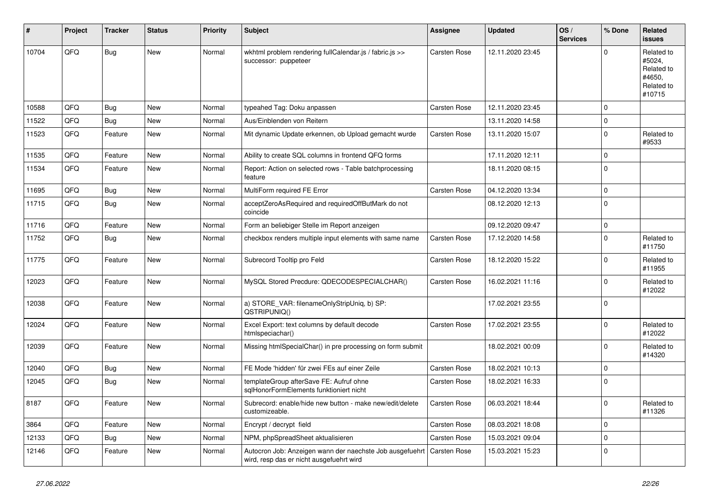| #     | Project | <b>Tracker</b> | <b>Status</b> | <b>Priority</b> | Subject                                                                                              | <b>Assignee</b>     | <b>Updated</b>   | OS/<br><b>Services</b> | % Done      | Related<br><b>issues</b>                                             |
|-------|---------|----------------|---------------|-----------------|------------------------------------------------------------------------------------------------------|---------------------|------------------|------------------------|-------------|----------------------------------------------------------------------|
| 10704 | QFQ     | Bug            | <b>New</b>    | Normal          | wkhtml problem rendering fullCalendar.js / fabric.js >><br>successor: puppeteer                      | <b>Carsten Rose</b> | 12.11.2020 23:45 |                        | $\Omega$    | Related to<br>#5024,<br>Related to<br>#4650,<br>Related to<br>#10715 |
| 10588 | QFQ     | Bug            | <b>New</b>    | Normal          | typeahed Tag: Doku anpassen                                                                          | <b>Carsten Rose</b> | 12.11.2020 23:45 |                        | $\mathbf 0$ |                                                                      |
| 11522 | QFQ     | Bug            | <b>New</b>    | Normal          | Aus/Einblenden von Reitern                                                                           |                     | 13.11.2020 14:58 |                        | $\mathbf 0$ |                                                                      |
| 11523 | QFQ     | Feature        | <b>New</b>    | Normal          | Mit dynamic Update erkennen, ob Upload gemacht wurde                                                 | <b>Carsten Rose</b> | 13.11.2020 15:07 |                        | $\mathbf 0$ | Related to<br>#9533                                                  |
| 11535 | QFQ     | Feature        | <b>New</b>    | Normal          | Ability to create SQL columns in frontend QFQ forms                                                  |                     | 17.11.2020 12:11 |                        | $\mathbf 0$ |                                                                      |
| 11534 | QFQ     | Feature        | <b>New</b>    | Normal          | Report: Action on selected rows - Table batchprocessing<br>feature                                   |                     | 18.11.2020 08:15 |                        | $\mathbf 0$ |                                                                      |
| 11695 | QFQ     | Bug            | New           | Normal          | MultiForm required FE Error                                                                          | <b>Carsten Rose</b> | 04.12.2020 13:34 |                        | $\mathbf 0$ |                                                                      |
| 11715 | QFQ     | Bug            | <b>New</b>    | Normal          | acceptZeroAsRequired and requiredOffButMark do not<br>coincide                                       |                     | 08.12.2020 12:13 |                        | $\mathbf 0$ |                                                                      |
| 11716 | QFQ     | Feature        | <b>New</b>    | Normal          | Form an beliebiger Stelle im Report anzeigen                                                         |                     | 09.12.2020 09:47 |                        | $\mathbf 0$ |                                                                      |
| 11752 | QFQ     | Bug            | New           | Normal          | checkbox renders multiple input elements with same name                                              | <b>Carsten Rose</b> | 17.12.2020 14:58 |                        | $\mathbf 0$ | Related to<br>#11750                                                 |
| 11775 | QFQ     | Feature        | <b>New</b>    | Normal          | Subrecord Tooltip pro Feld                                                                           | <b>Carsten Rose</b> | 18.12.2020 15:22 |                        | $\mathbf 0$ | Related to<br>#11955                                                 |
| 12023 | QFQ     | Feature        | <b>New</b>    | Normal          | MySQL Stored Precdure: QDECODESPECIALCHAR()                                                          | <b>Carsten Rose</b> | 16.02.2021 11:16 |                        | $\mathbf 0$ | Related to<br>#12022                                                 |
| 12038 | QFQ     | Feature        | <b>New</b>    | Normal          | a) STORE_VAR: filenameOnlyStripUniq, b) SP:<br>QSTRIPUNIQ()                                          |                     | 17.02.2021 23:55 |                        | $\mathbf 0$ |                                                                      |
| 12024 | QFQ     | Feature        | <b>New</b>    | Normal          | Excel Export: text columns by default decode<br>htmlspeciachar()                                     | <b>Carsten Rose</b> | 17.02.2021 23:55 |                        | $\mathbf 0$ | Related to<br>#12022                                                 |
| 12039 | QFQ     | Feature        | <b>New</b>    | Normal          | Missing htmlSpecialChar() in pre processing on form submit                                           |                     | 18.02.2021 00:09 |                        | $\mathbf 0$ | Related to<br>#14320                                                 |
| 12040 | QFQ     | Bug            | <b>New</b>    | Normal          | FE Mode 'hidden' für zwei FEs auf einer Zeile                                                        | <b>Carsten Rose</b> | 18.02.2021 10:13 |                        | $\mathbf 0$ |                                                                      |
| 12045 | QFQ     | <b>Bug</b>     | New           | Normal          | templateGroup afterSave FE: Aufruf ohne<br>sglHonorFormElements funktioniert nicht                   | <b>Carsten Rose</b> | 18.02.2021 16:33 |                        | $\mathbf 0$ |                                                                      |
| 8187  | QFQ     | Feature        | New           | Normal          | Subrecord: enable/hide new button - make new/edit/delete<br>customizeable.                           | Carsten Rose        | 06.03.2021 18:44 |                        | 1 O         | Related to<br>#11326                                                 |
| 3864  | QFQ     | Feature        | New           | Normal          | Encrypt / decrypt field                                                                              | Carsten Rose        | 08.03.2021 18:08 |                        | $\mathbf 0$ |                                                                      |
| 12133 | QFQ     | <b>Bug</b>     | New           | Normal          | NPM, phpSpreadSheet aktualisieren                                                                    | Carsten Rose        | 15.03.2021 09:04 |                        | $\pmb{0}$   |                                                                      |
| 12146 | QFQ     | Feature        | New           | Normal          | Autocron Job: Anzeigen wann der naechste Job ausgefuehrt<br>wird, resp das er nicht ausgefuehrt wird | <b>Carsten Rose</b> | 15.03.2021 15:23 |                        | $\mathbf 0$ |                                                                      |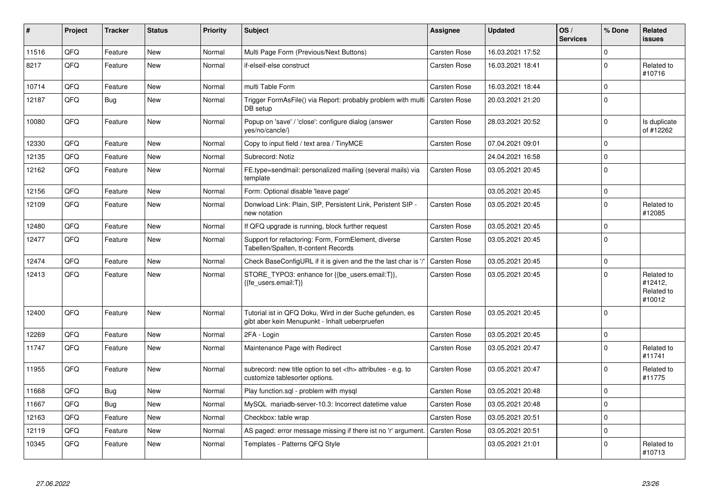| #     | Project | <b>Tracker</b> | <b>Status</b> | <b>Priority</b> | <b>Subject</b>                                                                                             | <b>Assignee</b>                                        | <b>Updated</b>   | OS/<br><b>Services</b> | % Done      | Related<br><b>issues</b>                      |                      |
|-------|---------|----------------|---------------|-----------------|------------------------------------------------------------------------------------------------------------|--------------------------------------------------------|------------------|------------------------|-------------|-----------------------------------------------|----------------------|
| 11516 | QFQ     | Feature        | <b>New</b>    | Normal          | Multi Page Form (Previous/Next Buttons)                                                                    | <b>Carsten Rose</b>                                    | 16.03.2021 17:52 |                        | $\mathbf 0$ |                                               |                      |
| 8217  | QFQ     | Feature        | New           | Normal          | if-elseif-else construct                                                                                   | <b>Carsten Rose</b>                                    | 16.03.2021 18:41 |                        | $\Omega$    | Related to<br>#10716                          |                      |
| 10714 | QFQ     | Feature        | <b>New</b>    | Normal          | multi Table Form                                                                                           | <b>Carsten Rose</b>                                    | 16.03.2021 18:44 |                        | $\Omega$    |                                               |                      |
| 12187 | QFQ     | <b>Bug</b>     | New           | Normal          | Trigger FormAsFile() via Report: probably problem with multi<br>DB setup                                   | <b>Carsten Rose</b>                                    | 20.03.2021 21:20 |                        | $\Omega$    |                                               |                      |
| 10080 | QFQ     | Feature        | New           | Normal          | Popup on 'save' / 'close': configure dialog (answer<br>yes/no/cancle/)                                     | <b>Carsten Rose</b>                                    | 28.03.2021 20:52 |                        | $\mathbf 0$ | Is duplicate<br>of #12262                     |                      |
| 12330 | QFQ     | Feature        | <b>New</b>    | Normal          | Copy to input field / text area / TinyMCE                                                                  | <b>Carsten Rose</b>                                    | 07.04.2021 09:01 |                        | $\mathbf 0$ |                                               |                      |
| 12135 | QFQ     | Feature        | <b>New</b>    | Normal          | Subrecord: Notiz                                                                                           |                                                        | 24.04.2021 16:58 |                        | $\Omega$    |                                               |                      |
| 12162 | QFQ     | Feature        | New           | Normal          | FE.type=sendmail: personalized mailing (several mails) via<br>template                                     | <b>Carsten Rose</b>                                    | 03.05.2021 20:45 |                        | $\Omega$    |                                               |                      |
| 12156 | QFQ     | Feature        | <b>New</b>    | Normal          | Form: Optional disable 'leave page'                                                                        |                                                        | 03.05.2021 20:45 |                        | $\mathbf 0$ |                                               |                      |
| 12109 | QFQ     | Feature        | New           | Normal          | Donwload Link: Plain, SIP, Persistent Link, Peristent SIP -<br>new notation                                | <b>Carsten Rose</b>                                    | 03.05.2021 20:45 |                        | $\Omega$    | Related to<br>#12085                          |                      |
| 12480 | QFQ     | Feature        | <b>New</b>    | Normal          | If QFQ upgrade is running, block further request                                                           | <b>Carsten Rose</b>                                    | 03.05.2021 20:45 |                        | $\Omega$    |                                               |                      |
| 12477 | QFQ     | Feature        | New           | Normal          | Support for refactoring: Form, FormElement, diverse<br>Tabellen/Spalten, tt-content Records                | <b>Carsten Rose</b>                                    | 03.05.2021 20:45 |                        | $\Omega$    |                                               |                      |
| 12474 | QFQ     | Feature        | New           | Normal          | Check BaseConfigURL if it is given and the the last char is '/'                                            | <b>Carsten Rose</b>                                    | 03.05.2021 20:45 |                        | $\Omega$    |                                               |                      |
| 12413 | QFQ     | Feature        | <b>New</b>    | Normal          | STORE TYPO3: enhance for {{be users.email:T}},<br>{{fe users.email:T}}                                     | <b>Carsten Rose</b>                                    | 03.05.2021 20:45 |                        | $\Omega$    | Related to<br>#12412,<br>Related to<br>#10012 |                      |
| 12400 | QFQ     | Feature        | New           | Normal          | Tutorial ist in QFQ Doku, Wird in der Suche gefunden, es<br>gibt aber kein Menupunkt - Inhalt ueberpruefen | <b>Carsten Rose</b>                                    | 03.05.2021 20:45 |                        | $\mathbf 0$ |                                               |                      |
| 12269 | QFQ     | Feature        | New           | Normal          | 2FA - Login                                                                                                | <b>Carsten Rose</b>                                    | 03.05.2021 20:45 |                        | $\mathbf 0$ |                                               |                      |
| 11747 | QFQ     | Feature        | <b>New</b>    | Normal          | Maintenance Page with Redirect                                                                             | Carsten Rose                                           | 03.05.2021 20:47 |                        | $\Omega$    | Related to<br>#11741                          |                      |
| 11955 | QFQ     | Feature        | <b>New</b>    | Normal          | subrecord: new title option to set <th> attributes - e.g. to<br/>customize tablesorter options.</th>       | attributes - e.g. to<br>customize tablesorter options. | Carsten Rose     | 03.05.2021 20:47       |             | $\Omega$                                      | Related to<br>#11775 |
| 11668 | QFQ     | Bug            | <b>New</b>    | Normal          | Play function.sql - problem with mysql                                                                     | Carsten Rose                                           | 03.05.2021 20:48 |                        | $\Omega$    |                                               |                      |
| 11667 | QFQ     | Bug            | New           | Normal          | MySQL mariadb-server-10.3: Incorrect datetime value                                                        | <b>Carsten Rose</b>                                    | 03.05.2021 20:48 |                        | $\mathbf 0$ |                                               |                      |
| 12163 | QFQ     | Feature        | <b>New</b>    | Normal          | Checkbox: table wrap                                                                                       | Carsten Rose                                           | 03.05.2021 20:51 |                        | $\Omega$    |                                               |                      |
| 12119 | QFQ     | Feature        | New           | Normal          | AS paged: error message missing if there ist no 'r' argument.                                              | <b>Carsten Rose</b>                                    | 03.05.2021 20:51 |                        | $\mathbf 0$ |                                               |                      |
| 10345 | QFQ     | Feature        | New           | Normal          | Templates - Patterns QFQ Style                                                                             |                                                        | 03.05.2021 21:01 |                        | $\Omega$    | Related to<br>#10713                          |                      |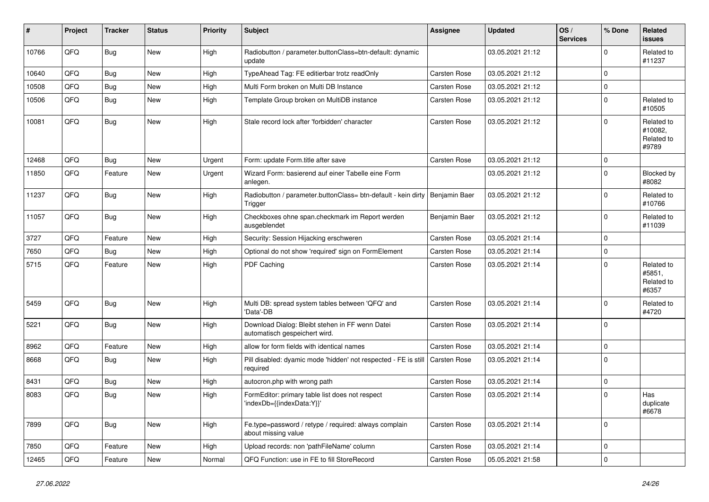| #     | Project | <b>Tracker</b> | <b>Status</b> | <b>Priority</b> | <b>Subject</b>                                                                           | Assignee            | <b>Updated</b>   | OS/<br><b>Services</b> | % Done      | Related<br><b>issues</b>                     |
|-------|---------|----------------|---------------|-----------------|------------------------------------------------------------------------------------------|---------------------|------------------|------------------------|-------------|----------------------------------------------|
| 10766 | QFQ     | Bug            | New           | High            | Radiobutton / parameter.buttonClass=btn-default: dynamic<br>update                       |                     | 03.05.2021 21:12 |                        | $\Omega$    | Related to<br>#11237                         |
| 10640 | QFQ     | Bug            | <b>New</b>    | High            | TypeAhead Tag: FE editierbar trotz readOnly                                              | Carsten Rose        | 03.05.2021 21:12 |                        | $\mathbf 0$ |                                              |
| 10508 | QFQ     | Bug            | New           | High            | Multi Form broken on Multi DB Instance                                                   | Carsten Rose        | 03.05.2021 21:12 |                        | $\mathbf 0$ |                                              |
| 10506 | QFQ     | Bug            | <b>New</b>    | High            | Template Group broken on MultiDB instance                                                | <b>Carsten Rose</b> | 03.05.2021 21:12 |                        | $\mathbf 0$ | Related to<br>#10505                         |
| 10081 | QFQ     | Bug            | New           | High            | Stale record lock after 'forbidden' character                                            | <b>Carsten Rose</b> | 03.05.2021 21:12 |                        | $\mathbf 0$ | Related to<br>#10082,<br>Related to<br>#9789 |
| 12468 | QFQ     | Bug            | New           | Urgent          | Form: update Form.title after save                                                       | Carsten Rose        | 03.05.2021 21:12 |                        | $\Omega$    |                                              |
| 11850 | QFQ     | Feature        | <b>New</b>    | Urgent          | Wizard Form: basierend auf einer Tabelle eine Form<br>anlegen.                           |                     | 03.05.2021 21:12 |                        | $\mathbf 0$ | Blocked by<br>#8082                          |
| 11237 | QFQ     | Bug            | <b>New</b>    | High            | Radiobutton / parameter.buttonClass= btn-default - kein dirty   Benjamin Baer<br>Trigger |                     | 03.05.2021 21:12 |                        | $\mathbf 0$ | Related to<br>#10766                         |
| 11057 | QFQ     | Bug            | New           | High            | Checkboxes ohne span.checkmark im Report werden<br>ausgeblendet                          | Benjamin Baer       | 03.05.2021 21:12 |                        | $\mathbf 0$ | Related to<br>#11039                         |
| 3727  | QFQ     | Feature        | <b>New</b>    | High            | Security: Session Hijacking erschweren                                                   | Carsten Rose        | 03.05.2021 21:14 |                        | $\mathbf 0$ |                                              |
| 7650  | QFQ     | Bug            | <b>New</b>    | High            | Optional do not show 'required' sign on FormElement                                      | Carsten Rose        | 03.05.2021 21:14 |                        | $\mathbf 0$ |                                              |
| 5715  | QFQ     | Feature        | <b>New</b>    | High            | PDF Caching                                                                              | <b>Carsten Rose</b> | 03.05.2021 21:14 |                        | $\mathbf 0$ | Related to<br>#5851.<br>Related to<br>#6357  |
| 5459  | QFQ     | Bug            | New           | High            | Multi DB: spread system tables between 'QFQ' and<br>'Data'-DB                            | Carsten Rose        | 03.05.2021 21:14 |                        | $\mathbf 0$ | Related to<br>#4720                          |
| 5221  | QFQ     | Bug            | New           | High            | Download Dialog: Bleibt stehen in FF wenn Datei<br>automatisch gespeichert wird.         | Carsten Rose        | 03.05.2021 21:14 |                        | $\mathbf 0$ |                                              |
| 8962  | QFQ     | Feature        | <b>New</b>    | High            | allow for form fields with identical names                                               | Carsten Rose        | 03.05.2021 21:14 |                        | $\mathbf 0$ |                                              |
| 8668  | QFQ     | Bug            | New           | High            | Pill disabled: dyamic mode 'hidden' not respected - FE is still<br>required              | <b>Carsten Rose</b> | 03.05.2021 21:14 |                        | $\Omega$    |                                              |
| 8431  | QFQ     | <b>Bug</b>     | <b>New</b>    | High            | autocron.php with wrong path                                                             | Carsten Rose        | 03.05.2021 21:14 |                        | $\mathbf 0$ |                                              |
| 8083  | QFQ     | Bug            | <b>New</b>    | High            | FormEditor: primary table list does not respect<br>'indexDb={{indexData:Y}}              | Carsten Rose        | 03.05.2021 21:14 |                        | $\mathbf 0$ | Has<br>duplicate<br>#6678                    |
| 7899  | QFQ     | Bug            | New           | High            | Fe.type=password / retype / required: always complain<br>about missing value             | Carsten Rose        | 03.05.2021 21:14 |                        | $\mathbf 0$ |                                              |
| 7850  | QFQ     | Feature        | New           | High            | Upload records: non 'pathFileName' column                                                | Carsten Rose        | 03.05.2021 21:14 |                        | $\mathbf 0$ |                                              |
| 12465 | QFQ     | Feature        | New           | Normal          | QFQ Function: use in FE to fill StoreRecord                                              | Carsten Rose        | 05.05.2021 21:58 |                        | $\mathbf 0$ |                                              |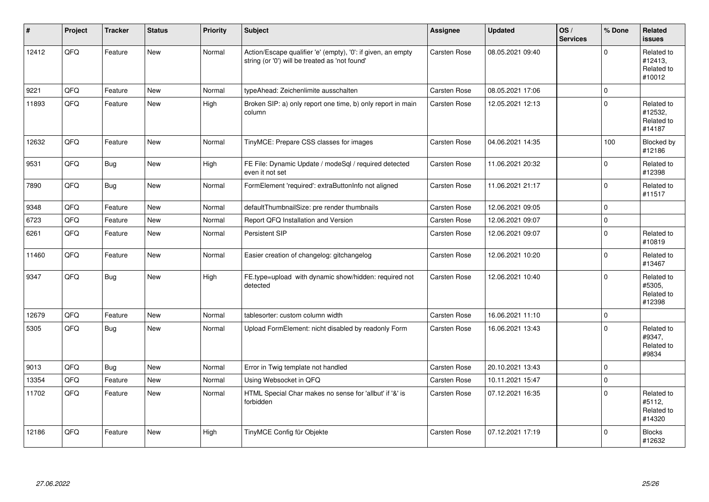| $\vert$ # | Project | <b>Tracker</b> | <b>Status</b> | <b>Priority</b> | <b>Subject</b>                                                                                                 | Assignee            | <b>Updated</b>   | OS/<br><b>Services</b> | % Done       | <b>Related</b><br><b>issues</b>               |
|-----------|---------|----------------|---------------|-----------------|----------------------------------------------------------------------------------------------------------------|---------------------|------------------|------------------------|--------------|-----------------------------------------------|
| 12412     | QFQ     | Feature        | <b>New</b>    | Normal          | Action/Escape qualifier 'e' (empty), '0': if given, an empty<br>string (or '0') will be treated as 'not found' | <b>Carsten Rose</b> | 08.05.2021 09:40 |                        | $\Omega$     | Related to<br>#12413,<br>Related to<br>#10012 |
| 9221      | QFQ     | Feature        | <b>New</b>    | Normal          | typeAhead: Zeichenlimite ausschalten                                                                           | <b>Carsten Rose</b> | 08.05.2021 17:06 |                        | $\Omega$     |                                               |
| 11893     | QFQ     | Feature        | New           | High            | Broken SIP: a) only report one time, b) only report in main<br>column                                          | <b>Carsten Rose</b> | 12.05.2021 12:13 |                        | $\Omega$     | Related to<br>#12532,<br>Related to<br>#14187 |
| 12632     | QFQ     | Feature        | New           | Normal          | TinyMCE: Prepare CSS classes for images                                                                        | <b>Carsten Rose</b> | 04.06.2021 14:35 |                        | 100          | Blocked by<br>#12186                          |
| 9531      | QFQ     | Bug            | New           | High            | FE File: Dynamic Update / modeSql / required detected<br>even it not set                                       | <b>Carsten Rose</b> | 11.06.2021 20:32 |                        | $\Omega$     | Related to<br>#12398                          |
| 7890      | QFQ     | Bug            | New           | Normal          | FormElement 'required': extraButtonInfo not aligned                                                            | <b>Carsten Rose</b> | 11.06.2021 21:17 |                        | $\mathbf{0}$ | Related to<br>#11517                          |
| 9348      | QFQ     | Feature        | <b>New</b>    | Normal          | defaultThumbnailSize: pre render thumbnails                                                                    | <b>Carsten Rose</b> | 12.06.2021 09:05 |                        | $\mathbf{0}$ |                                               |
| 6723      | QFQ     | Feature        | New           | Normal          | Report QFQ Installation and Version                                                                            | <b>Carsten Rose</b> | 12.06.2021 09:07 |                        | $\pmb{0}$    |                                               |
| 6261      | QFQ     | Feature        | New           | Normal          | Persistent SIP                                                                                                 | <b>Carsten Rose</b> | 12.06.2021 09:07 |                        | $\Omega$     | Related to<br>#10819                          |
| 11460     | QFQ     | Feature        | <b>New</b>    | Normal          | Easier creation of changelog: gitchangelog                                                                     | Carsten Rose        | 12.06.2021 10:20 |                        | $\mathbf 0$  | Related to<br>#13467                          |
| 9347      | QFQ     | <b>Bug</b>     | New           | High            | FE.type=upload with dynamic show/hidden: required not<br>detected                                              | <b>Carsten Rose</b> | 12.06.2021 10:40 |                        | $\mathbf{0}$ | Related to<br>#5305,<br>Related to<br>#12398  |
| 12679     | QFQ     | Feature        | <b>New</b>    | Normal          | tablesorter: custom column width                                                                               | <b>Carsten Rose</b> | 16.06.2021 11:10 |                        | $\mathbf{0}$ |                                               |
| 5305      | QFQ     | Bug            | New           | Normal          | Upload FormElement: nicht disabled by readonly Form                                                            | <b>Carsten Rose</b> | 16.06.2021 13:43 |                        | $\Omega$     | Related to<br>#9347,<br>Related to<br>#9834   |
| 9013      | QFQ     | Bug            | <b>New</b>    | Normal          | Error in Twig template not handled                                                                             | <b>Carsten Rose</b> | 20.10.2021 13:43 |                        | $\mathbf 0$  |                                               |
| 13354     | QFQ     | Feature        | New           | Normal          | Using Websocket in QFQ                                                                                         | Carsten Rose        | 10.11.2021 15:47 |                        | $\mathbf 0$  |                                               |
| 11702     | QFQ     | Feature        | New           | Normal          | HTML Special Char makes no sense for 'allbut' if '&' is<br>forbidden                                           | Carsten Rose        | 07.12.2021 16:35 |                        | $\mathbf 0$  | Related to<br>#5112.<br>Related to<br>#14320  |
| 12186     | QFQ     | Feature        | <b>New</b>    | High            | TinyMCE Config für Objekte                                                                                     | <b>Carsten Rose</b> | 07.12.2021 17:19 |                        | $\Omega$     | <b>Blocks</b><br>#12632                       |